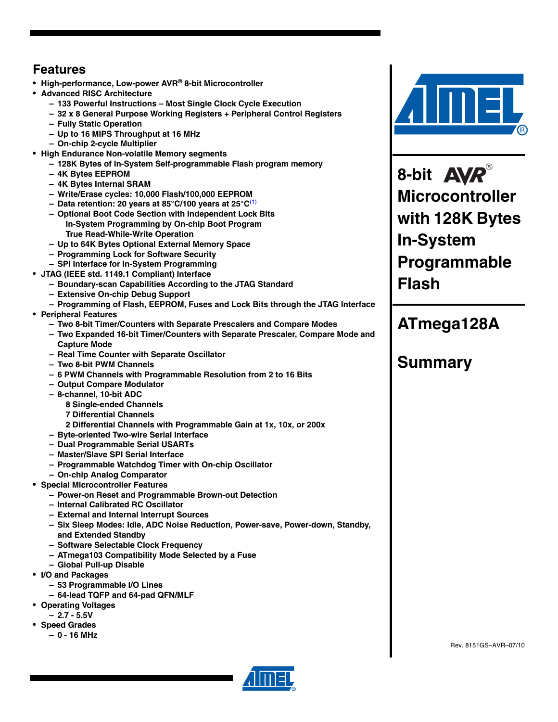### **Features**

- **High-performance, Low-power AVR® 8-bit Microcontroller**
- **Advanced RISC Architecture**
	- **133 Powerful Instructions Most Single Clock Cycle Execution**
	- **32 x 8 General Purpose Working Registers + Peripheral Control Registers**
	- **Fully Static Operation**
	- **Up to 16 MIPS Throughput at 16 MHz**
	- **On-chip 2-cycle Multiplier**
- **High Endurance Non-volatile Memory segments**
	- **128K Bytes of In-System Self-programmable Flash program memory**
	- **4K Bytes EEPROM**
	- **4K Bytes Internal SRAM**
	- **Write/Erase cycles: 10,000 Flash/100,000 EEPROM**
	- **Data retention: 20 years at 85°C/100 years at 25°C**(1)
	- **Optional Boot Code Section with Independent Lock Bits In-System Programming by On-chip Boot Program True Read-While-Write Operation**
	- **Up to 64K Bytes Optional External Memory Space**
	- **Programming Lock for Software Security**
	- **SPI Interface for In-System Programming**
- **JTAG (IEEE std. 1149.1 Compliant) Interface**
	- **Boundary-scan Capabilities According to the JTAG Standard**
	- **Extensive On-chip Debug Support**
	- **Programming of Flash, EEPROM, Fuses and Lock Bits through the JTAG Interface**
- **Peripheral Features**
	- **Two 8-bit Timer/Counters with Separate Prescalers and Compare Modes**
	- **Two Expanded 16-bit Timer/Counters with Separate Prescaler, Compare Mode and Capture Mode**
	- **Real Time Counter with Separate Oscillator**
	- **Two 8-bit PWM Channels**
	- **6 PWM Channels with Programmable Resolution from 2 to 16 Bits**
	- **Output Compare Modulator**
	- **8-channel, 10-bit ADC**
		- **8 Single-ended Channels**
		- **7 Differential Channels**
			- **2 Differential Channels with Programmable Gain at 1x, 10x, or 200x**
	- **Byte-oriented Two-wire Serial Interface**
	- **Dual Programmable Serial USARTs**
	- **Master/Slave SPI Serial Interface**
	- **Programmable Watchdog Timer with On-chip Oscillator**
	- **On-chip Analog Comparator**
- **Special Microcontroller Features**
	- **Power-on Reset and Programmable Brown-out Detection**
	- **Internal Calibrated RC Oscillator**
	- **External and Internal Interrupt Sources**
	- **Six Sleep Modes: Idle, ADC Noise Reduction, Power-save, Power-down, Standby, and Extended Standby**
	- **Software Selectable Clock Frequency**
	- **ATmega103 Compatibility Mode Selected by a Fuse**
	- **Global Pull-up Disable**
- **I/O and Packages**
	- **53 Programmable I/O Lines**
	- **64-lead TQFP and 64-pad QFN/MLF**
- **Operating Voltages**
- **2.7 5.5V**
- **Speed Grades**
	- **0 16 MHz**



**8-bit Microcontroller with 128K Bytes In-System Programmable Flash**

## **ATmega128A**

## **Summary**

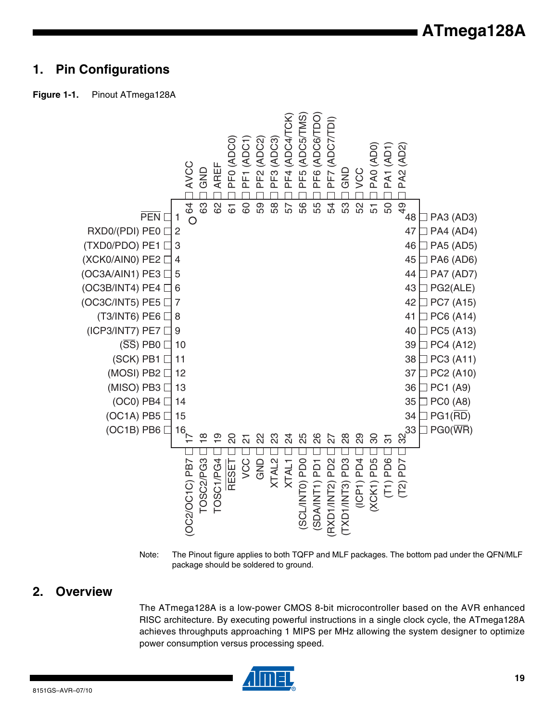## **1. Pin Configurations**





Note: The Pinout figure applies to both TQFP and MLF packages. The bottom pad under the QFN/MLF package should be soldered to ground.

### **2. Overview**

The ATmega128A is a low-power CMOS 8-bit microcontroller based on the AVR enhanced RISC architecture. By executing powerful instructions in a single clock cycle, the ATmega128A achieves throughputs approaching 1 MIPS per MHz allowing the system designer to optimize power consumption versus processing speed.

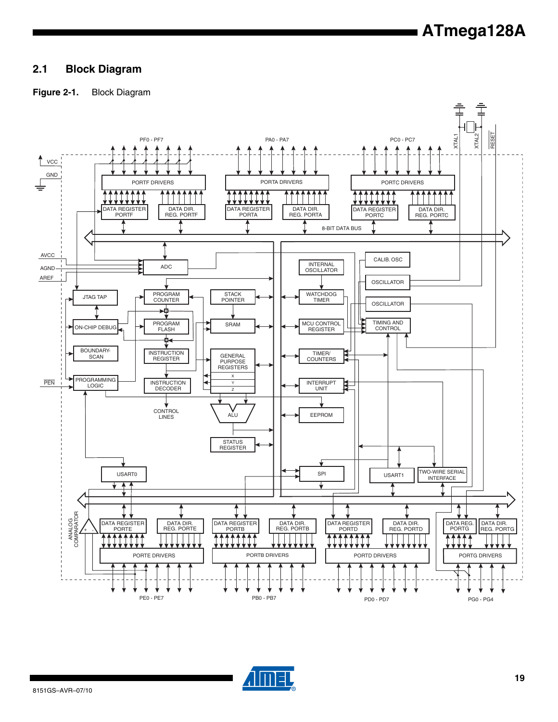### **2.1 Block Diagram**

### **Figure 2-1.** Block Diagram



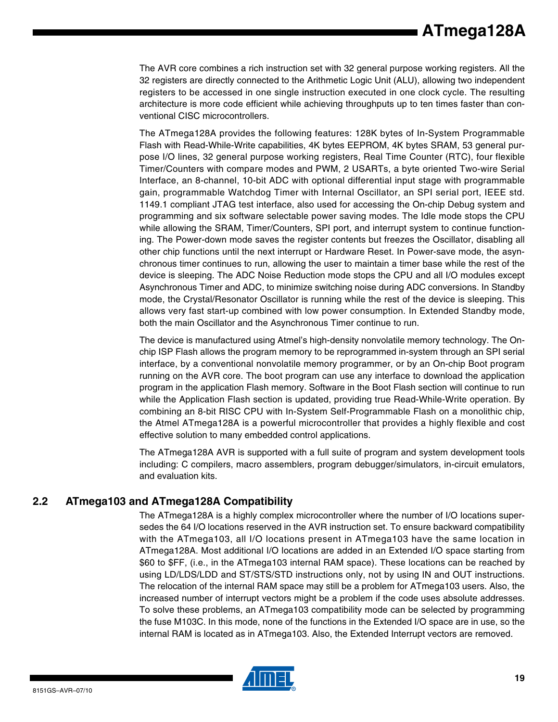The AVR core combines a rich instruction set with 32 general purpose working registers. All the 32 registers are directly connected to the Arithmetic Logic Unit (ALU), allowing two independent registers to be accessed in one single instruction executed in one clock cycle. The resulting architecture is more code efficient while achieving throughputs up to ten times faster than conventional CISC microcontrollers.

The ATmega128A provides the following features: 128K bytes of In-System Programmable Flash with Read-While-Write capabilities, 4K bytes EEPROM, 4K bytes SRAM, 53 general purpose I/O lines, 32 general purpose working registers, Real Time Counter (RTC), four flexible Timer/Counters with compare modes and PWM, 2 USARTs, a byte oriented Two-wire Serial Interface, an 8-channel, 10-bit ADC with optional differential input stage with programmable gain, programmable Watchdog Timer with Internal Oscillator, an SPI serial port, IEEE std. 1149.1 compliant JTAG test interface, also used for accessing the On-chip Debug system and programming and six software selectable power saving modes. The Idle mode stops the CPU while allowing the SRAM, Timer/Counters, SPI port, and interrupt system to continue functioning. The Power-down mode saves the register contents but freezes the Oscillator, disabling all other chip functions until the next interrupt or Hardware Reset. In Power-save mode, the asynchronous timer continues to run, allowing the user to maintain a timer base while the rest of the device is sleeping. The ADC Noise Reduction mode stops the CPU and all I/O modules except Asynchronous Timer and ADC, to minimize switching noise during ADC conversions. In Standby mode, the Crystal/Resonator Oscillator is running while the rest of the device is sleeping. This allows very fast start-up combined with low power consumption. In Extended Standby mode, both the main Oscillator and the Asynchronous Timer continue to run.

The device is manufactured using Atmel's high-density nonvolatile memory technology. The Onchip ISP Flash allows the program memory to be reprogrammed in-system through an SPI serial interface, by a conventional nonvolatile memory programmer, or by an On-chip Boot program running on the AVR core. The boot program can use any interface to download the application program in the application Flash memory. Software in the Boot Flash section will continue to run while the Application Flash section is updated, providing true Read-While-Write operation. By combining an 8-bit RISC CPU with In-System Self-Programmable Flash on a monolithic chip, the Atmel ATmega128A is a powerful microcontroller that provides a highly flexible and cost effective solution to many embedded control applications.

The ATmega128A AVR is supported with a full suite of program and system development tools including: C compilers, macro assemblers, program debugger/simulators, in-circuit emulators, and evaluation kits.

### **2.2 ATmega103 and ATmega128A Compatibility**

The ATmega128A is a highly complex microcontroller where the number of I/O locations supersedes the 64 I/O locations reserved in the AVR instruction set. To ensure backward compatibility with the ATmega103, all I/O locations present in ATmega103 have the same location in ATmega128A. Most additional I/O locations are added in an Extended I/O space starting from \$60 to \$FF, (i.e., in the ATmega103 internal RAM space). These locations can be reached by using LD/LDS/LDD and ST/STS/STD instructions only, not by using IN and OUT instructions. The relocation of the internal RAM space may still be a problem for ATmega103 users. Also, the increased number of interrupt vectors might be a problem if the code uses absolute addresses. To solve these problems, an ATmega103 compatibility mode can be selected by programming the fuse M103C. In this mode, none of the functions in the Extended I/O space are in use, so the internal RAM is located as in ATmega103. Also, the Extended Interrupt vectors are removed.

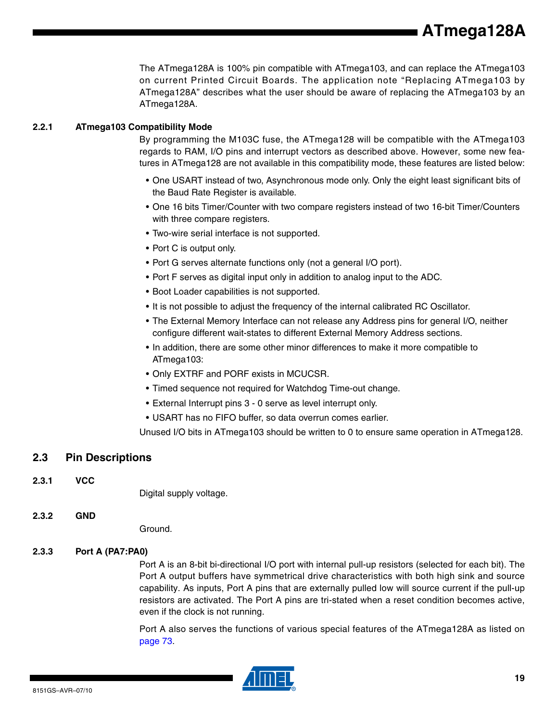**ATmega128A**

The ATmega128A is 100% pin compatible with ATmega103, and can replace the ATmega103 on current Printed Circuit Boards. The application note "Replacing ATmega103 by ATmega128A" describes what the user should be aware of replacing the ATmega103 by an ATmega128A.

### **2.2.1 ATmega103 Compatibility Mode**

By programming the M103C fuse, the ATmega128 will be compatible with the ATmega103 regards to RAM, I/O pins and interrupt vectors as described above. However, some new features in ATmega128 are not available in this compatibility mode, these features are listed below:

- One USART instead of two, Asynchronous mode only. Only the eight least significant bits of the Baud Rate Register is available.
- One 16 bits Timer/Counter with two compare registers instead of two 16-bit Timer/Counters with three compare registers.
- Two-wire serial interface is not supported.
- Port C is output only.
- Port G serves alternate functions only (not a general I/O port).
- Port F serves as digital input only in addition to analog input to the ADC.
- Boot Loader capabilities is not supported.
- It is not possible to adjust the frequency of the internal calibrated RC Oscillator.
- The External Memory Interface can not release any Address pins for general I/O, neither configure different wait-states to different External Memory Address sections.
- In addition, there are some other minor differences to make it more compatible to ATmega103:
- Only EXTRF and PORF exists in MCUCSR.
- Timed sequence not required for Watchdog Time-out change.
- External Interrupt pins 3 0 serve as level interrupt only.
- USART has no FIFO buffer, so data overrun comes earlier.

Unused I/O bits in ATmega103 should be written to 0 to ensure same operation in ATmega128.

### **2.3 Pin Descriptions**

**2.3.1 VCC**

Digital supply voltage.

### **2.3.2 GND**

Ground.

### **2.3.3 Port A (PA7:PA0)**

Port A is an 8-bit bi-directional I/O port with internal pull-up resistors (selected for each bit). The Port A output buffers have symmetrical drive characteristics with both high sink and source capability. As inputs, Port A pins that are externally pulled low will source current if the pull-up resistors are activated. The Port A pins are tri-stated when a reset condition becomes active, even if the clock is not running.

Port A also serves the functions of various special features of the ATmega128A as listed on page 73.

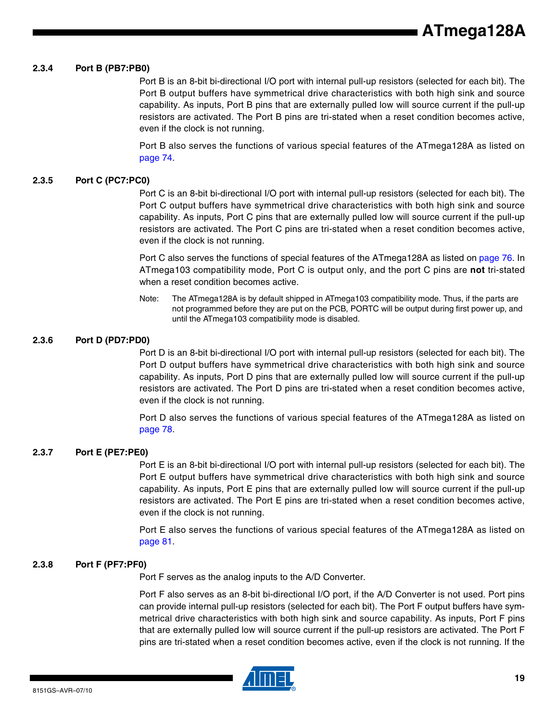#### **2.3.4 Port B (PB7:PB0)**

Port B is an 8-bit bi-directional I/O port with internal pull-up resistors (selected for each bit). The Port B output buffers have symmetrical drive characteristics with both high sink and source capability. As inputs, Port B pins that are externally pulled low will source current if the pull-up resistors are activated. The Port B pins are tri-stated when a reset condition becomes active, even if the clock is not running.

Port B also serves the functions of various special features of the ATmega128A as listed on page 74.

#### **2.3.5 Port C (PC7:PC0)**

Port C is an 8-bit bi-directional I/O port with internal pull-up resistors (selected for each bit). The Port C output buffers have symmetrical drive characteristics with both high sink and source capability. As inputs, Port C pins that are externally pulled low will source current if the pull-up resistors are activated. The Port C pins are tri-stated when a reset condition becomes active, even if the clock is not running.

Port C also serves the functions of special features of the ATmega128A as listed on page 76. In ATmega103 compatibility mode, Port C is output only, and the port C pins are **not** tri-stated when a reset condition becomes active.

Note: The ATmega128A is by default shipped in ATmega103 compatibility mode. Thus, if the parts are not programmed before they are put on the PCB, PORTC will be output during first power up, and until the ATmega103 compatibility mode is disabled.

#### **2.3.6 Port D (PD7:PD0)**

Port D is an 8-bit bi-directional I/O port with internal pull-up resistors (selected for each bit). The Port D output buffers have symmetrical drive characteristics with both high sink and source capability. As inputs, Port D pins that are externally pulled low will source current if the pull-up resistors are activated. The Port D pins are tri-stated when a reset condition becomes active, even if the clock is not running.

Port D also serves the functions of various special features of the ATmega128A as listed on page 78.

#### **2.3.7 Port E (PE7:PE0)**

Port E is an 8-bit bi-directional I/O port with internal pull-up resistors (selected for each bit). The Port E output buffers have symmetrical drive characteristics with both high sink and source capability. As inputs, Port E pins that are externally pulled low will source current if the pull-up resistors are activated. The Port E pins are tri-stated when a reset condition becomes active, even if the clock is not running.

Port E also serves the functions of various special features of the ATmega128A as listed on page 81.

#### **2.3.8 Port F (PF7:PF0)**

Port F serves as the analog inputs to the A/D Converter.

Port F also serves as an 8-bit bi-directional I/O port, if the A/D Converter is not used. Port pins can provide internal pull-up resistors (selected for each bit). The Port F output buffers have symmetrical drive characteristics with both high sink and source capability. As inputs, Port F pins that are externally pulled low will source current if the pull-up resistors are activated. The Port F pins are tri-stated when a reset condition becomes active, even if the clock is not running. If the

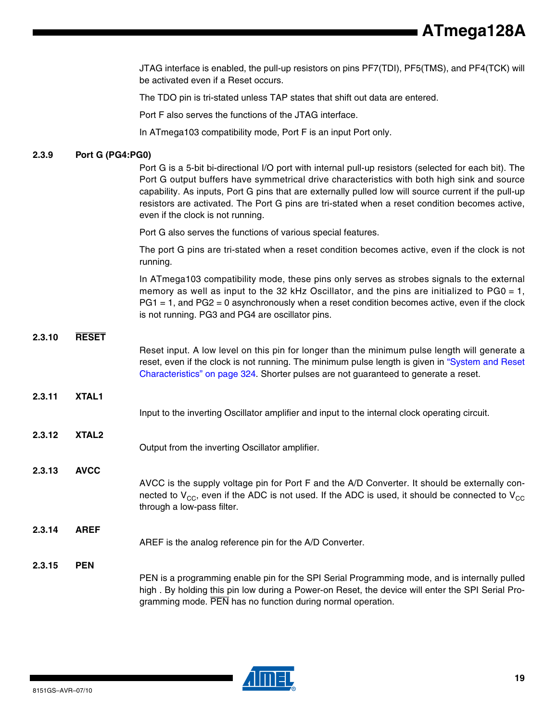**ATmega128A**

JTAG interface is enabled, the pull-up resistors on pins PF7(TDI), PF5(TMS), and PF4(TCK) will be activated even if a Reset occurs.

The TDO pin is tri-stated unless TAP states that shift out data are entered.

Port F also serves the functions of the JTAG interface.

In ATmega103 compatibility mode, Port F is an input Port only.

### **2.3.9 Port G (PG4:PG0)**

Port G is a 5-bit bi-directional I/O port with internal pull-up resistors (selected for each bit). The Port G output buffers have symmetrical drive characteristics with both high sink and source capability. As inputs, Port G pins that are externally pulled low will source current if the pull-up resistors are activated. The Port G pins are tri-stated when a reset condition becomes active, even if the clock is not running.

Port G also serves the functions of various special features.

The port G pins are tri-stated when a reset condition becomes active, even if the clock is not running.

In ATmega103 compatibility mode, these pins only serves as strobes signals to the external memory as well as input to the 32 kHz Oscillator, and the pins are initialized to PG0 = 1, PG1 = 1, and PG2 = 0 asynchronously when a reset condition becomes active, even if the clock is not running. PG3 and PG4 are oscillator pins.

### **2.3.10 RESET**

**2.3.12 XTAL2**

**2.3.14 AREF**

**2.3.15 PEN**

Reset input. A low level on this pin for longer than the minimum pulse length will generate a reset, even if the clock is not running. The minimum pulse length is given in "System and Reset Characteristics" on page 324. Shorter pulses are not guaranteed to generate a reset.

- **2.3.11 XTAL1**
	- Input to the inverting Oscillator amplifier and input to the internal clock operating circuit.
		- Output from the inverting Oscillator amplifier.
	- **2.3.13 AVCC**
		- AVCC is the supply voltage pin for Port F and the A/D Converter. It should be externally connected to  $V_{CC}$ , even if the ADC is not used. If the ADC is used, it should be connected to  $V_{CC}$ through a low-pass filter.

### AREF is the analog reference pin for the A/D Converter.

PEN is a programming enable pin for the SPI Serial Programming mode, and is internally pulled high . By holding this pin low during a Power-on Reset, the device will enter the SPI Serial Programming mode. PEN has no function during normal operation.

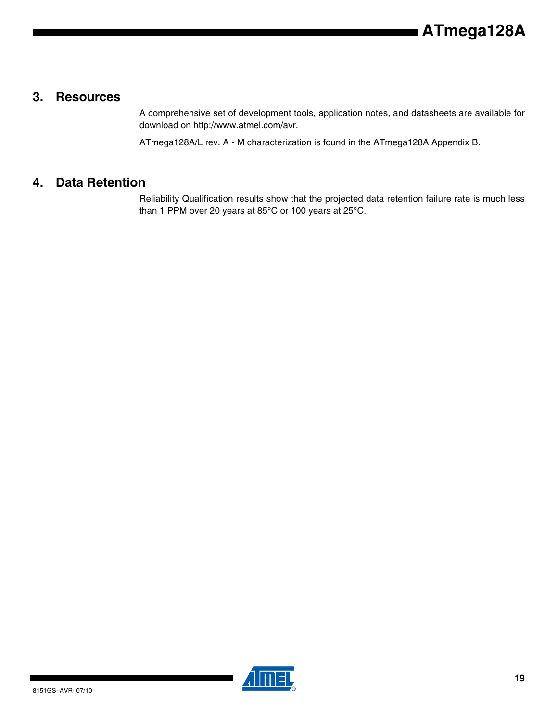### **3. Resources**

A comprehensive set of development tools, application notes, and datasheets are available for download on http://www.atmel.com/avr.

ATmega128A/L rev. A - M characterization is found in the ATmega128A Appendix B.

### **4. Data Retention**

Reliability Qualification results show that the projected data retention failure rate is much less than 1 PPM over 20 years at 85°C or 100 years at 25°C.

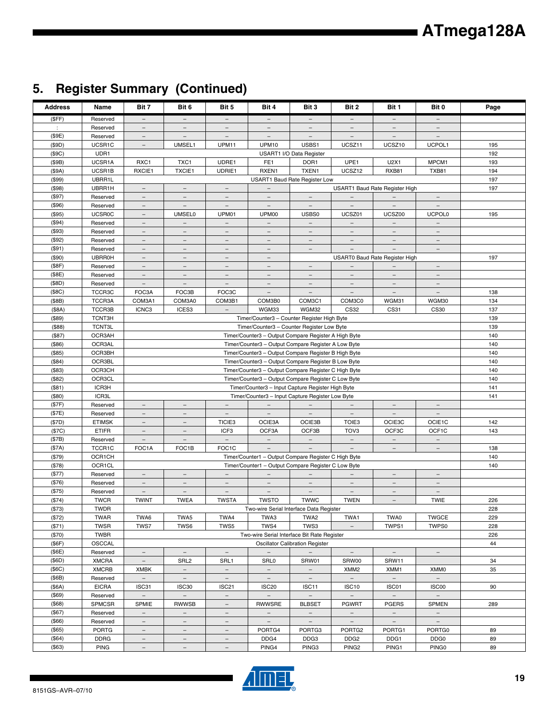## **5. Register Summary (Continued)**

| <b>Address</b>              | Name                      | Bit 7                                         | Bit 6                                                | Bit 5                                         | Bit 4                                                                                                       | Bit 3                                                | Bit 2                    | Bit 1                           | Bit 0                                                | Page       |
|-----------------------------|---------------------------|-----------------------------------------------|------------------------------------------------------|-----------------------------------------------|-------------------------------------------------------------------------------------------------------------|------------------------------------------------------|--------------------------|---------------------------------|------------------------------------------------------|------------|
| (SFF)                       | Reserved                  | $\overline{\phantom{0}}$                      | $-$                                                  | $\overline{\phantom{0}}$                      | $\overline{\phantom{a}}$                                                                                    | $\overline{\phantom{0}}$                             | $\overline{\phantom{a}}$ | $\overline{\phantom{m}}$        | $-$                                                  |            |
| $\mathcal{L}_{\mathcal{L}}$ | Reserved                  | $\overline{\phantom{m}}$                      | $\overline{\phantom{m}}$                             | $\overline{\phantom{m}}$                      | $\equiv$                                                                                                    | Ξ                                                    | $\qquad \qquad =$        | $\overline{\phantom{m}}$        | $\overline{\phantom{m}}$                             |            |
| (\$9E)                      | Reserved                  | $\overline{\phantom{a}}$                      | $\equiv$                                             | $\equiv$                                      | $\equiv$                                                                                                    | $\overline{\phantom{a}}$                             | $\overline{\phantom{a}}$ | $\equiv$                        | $\equiv$                                             |            |
| (\$9D)                      | UCSR1C                    | $\qquad \qquad -$                             | UMSEL1                                               | UPM11                                         | UPM10                                                                                                       | USBS1                                                | UCSZ11                   | UCSZ10                          | UCPOL1                                               | 195        |
| (\$9C)                      | UDR1                      |                                               |                                                      |                                               |                                                                                                             | USART1 I/O Data Register                             |                          |                                 |                                                      | 192        |
| (\$9B)                      | UCSR1A                    | RXC1                                          | TXC1                                                 | UDRE1                                         | FE <sub>1</sub>                                                                                             | DOR <sub>1</sub>                                     | UPE1                     | U2X1                            | MPCM1                                                | 193        |
| (\$9A)                      | UCSR1B                    | RXCIE1                                        | <b>TXCIE1</b>                                        | UDRIE1                                        | RXEN1                                                                                                       | TXEN1                                                | UCSZ12                   | <b>RXB81</b>                    | TXB81                                                | 194        |
| (\$99)                      | UBRR1L                    |                                               |                                                      |                                               |                                                                                                             | USART1 Baud Rate Register Low                        |                          |                                 |                                                      | 197        |
| (\$98)                      | UBRR1H                    | $\equiv$                                      | $\equiv$                                             |                                               |                                                                                                             |                                                      |                          | USART1 Baud Rate Register High  |                                                      | 197        |
| (\$97)                      | Reserved                  | $\equiv$                                      | $\equiv$                                             | $\overline{\phantom{0}}$                      | $\equiv$                                                                                                    | $\equiv$                                             | $\overline{\phantom{a}}$ | $\overline{\phantom{a}}$        | $-$                                                  |            |
| (\$96)                      | Reserved                  | $\overline{\phantom{m}}$                      | $\overline{\phantom{a}}$                             | $\overline{\phantom{a}}$                      | $\overline{\phantom{m}}$                                                                                    | $\overline{\phantom{a}}$                             | $\overline{\phantom{a}}$ | $\overline{\phantom{a}}$        | $\overline{\phantom{a}}$                             |            |
| (\$95)                      | <b>UCSR0C</b>             | $\overline{\phantom{a}}$                      | <b>UMSEL0</b>                                        | UPM01                                         | UPM00                                                                                                       | USBS0                                                | UCSZ01                   | UCSZ00                          | <b>UCPOL0</b>                                        | 195        |
| (\$94)                      | Reserved                  | $\overline{\phantom{a}}$                      | $\qquad \qquad -$                                    | $\overline{\phantom{0}}$                      | $\overline{\phantom{a}}$                                                                                    | $\overline{\phantom{0}}$                             | $\overline{\phantom{a}}$ | $\overline{\phantom{a}}$        | $\overline{\phantom{a}}$                             |            |
| (\$93)                      | Reserved                  | $\overline{\phantom{m}}$                      | $\overline{\phantom{a}}$                             | $\overline{\phantom{m}}$                      | $\qquad \qquad -$                                                                                           | $\overline{\phantom{m}}$                             | $\overline{\phantom{m}}$ | $\overline{\phantom{m}}$        | $\overline{\phantom{m}}$                             |            |
| (\$92)                      | Reserved                  | $\overline{\phantom{m}}$<br>$\qquad \qquad -$ | $\overline{\phantom{a}}$<br>$\qquad \qquad -$        | $\overline{\phantom{m}}$<br>$\qquad \qquad -$ | $\overline{\phantom{a}}$<br>$\overline{\phantom{a}}$                                                        | $\overline{\phantom{m}}$<br>$\overline{\phantom{a}}$ | $\overline{\phantom{m}}$ | $-$<br>$\overline{\phantom{m}}$ | $\overline{\phantom{m}}$<br>$\overline{\phantom{0}}$ |            |
| (\$91)                      | Reserved<br><b>UBRR0H</b> | $\overline{\phantom{a}}$                      | $\overline{\phantom{a}}$                             | $\equiv$                                      | $\equiv$                                                                                                    |                                                      |                          |                                 |                                                      | 197        |
| (\$90)<br>(\$8F)            | Reserved                  | $\overline{\phantom{a}}$                      | $\overline{\phantom{a}}$                             | $\overline{\phantom{a}}$                      | $\overline{\phantom{a}}$                                                                                    | $\overline{\phantom{a}}$                             |                          | USART0 Baud Rate Register High  | $\overline{\phantom{a}}$                             |            |
| (\$8E)                      | Reserved                  | $\overline{\phantom{m}}$                      | $\overline{\phantom{0}}$                             | $\overline{\phantom{a}}$                      |                                                                                                             |                                                      |                          |                                 |                                                      |            |
| (\$BD)                      | Reserved                  | $\equiv$                                      | $\overline{\phantom{a}}$                             | $\overline{\phantom{a}}$                      | $\overline{\phantom{m}}$                                                                                    | $-$                                                  | $\overline{\phantom{m}}$ | $\overline{\phantom{m}}$        | $\overline{\phantom{m}}$                             |            |
| (\$BC)                      | TCCR3C                    | FOC3A                                         | FOC3B                                                | FOC3C                                         | $\overline{\phantom{m}}$                                                                                    | $\overline{\phantom{a}}$                             | $\overline{\phantom{m}}$ | $\overline{\phantom{a}}$        | $\overline{\phantom{a}}$                             | 138        |
| (\$BB)                      | TCCR3A                    | COM3A1                                        | COM3A0                                               | COM3B1                                        | COM3B0                                                                                                      | COM3C1                                               | COM3C0                   | WGM31                           | WGM30                                                | 134        |
| (\$BA)                      | TCCR3B                    | ICNC3                                         | ICES3                                                | $\overline{\phantom{a}}$                      | WGM33                                                                                                       | WGM32                                                | CS32                     | CS31                            | <b>CS30</b>                                          | 137        |
| (\$89)                      | TCNT3H                    |                                               |                                                      |                                               | Timer/Counter3 - Counter Register High Byte                                                                 |                                                      |                          |                                 |                                                      | 139        |
| (\$88)                      | <b>TCNT3L</b>             |                                               |                                                      |                                               | Timer/Counter3 - Counter Register Low Byte                                                                  |                                                      |                          |                                 |                                                      | 139        |
| (\$87)                      | OCR3AH                    |                                               |                                                      |                                               | Timer/Counter3 - Output Compare Register A High Byte                                                        |                                                      |                          |                                 |                                                      | 140        |
| ( \$86)                     | OCR3AL                    |                                               |                                                      |                                               | Timer/Counter3 - Output Compare Register A Low Byte                                                         |                                                      |                          |                                 |                                                      | 140        |
| (\$85)                      | OCR3BH                    |                                               | Timer/Counter3 - Output Compare Register B High Byte |                                               |                                                                                                             |                                                      |                          |                                 | 140                                                  |            |
| (\$84)                      | OCR3BL                    |                                               | Timer/Counter3 - Output Compare Register B Low Byte  |                                               |                                                                                                             |                                                      |                          |                                 | 140                                                  |            |
| (\$83)                      | OCR3CH                    |                                               | Timer/Counter3 - Output Compare Register C High Byte |                                               |                                                                                                             |                                                      |                          |                                 | 140                                                  |            |
| (\$82)                      | OCR3CL                    |                                               | Timer/Counter3 - Output Compare Register C Low Byte  |                                               |                                                                                                             |                                                      |                          |                                 | 140                                                  |            |
| (\$81)                      | ICR3H                     |                                               |                                                      |                                               | Timer/Counter3 - Input Capture Register High Byte                                                           |                                                      |                          |                                 |                                                      | 141        |
| (\$80)                      | ICR3L                     |                                               |                                                      |                                               | Timer/Counter3 - Input Capture Register Low Byte                                                            |                                                      |                          |                                 |                                                      | 141        |
| (\$7F)                      | Reserved                  | $\overline{\phantom{0}}$                      | $\equiv$                                             | $\overline{\phantom{m}}$                      | $\overline{\phantom{a}}$                                                                                    | $\equiv$                                             | $\equiv$                 | $\equiv$                        | $-$                                                  |            |
| (\$7E)                      | Reserved                  | $\overline{\phantom{m}}$                      | $\overline{\phantom{a}}$                             | $\qquad \qquad -$                             | $\overline{\phantom{a}}$                                                                                    | $\equiv$                                             | $\overline{\phantom{m}}$ | $\overline{\phantom{a}}$        | $\overline{\phantom{a}}$                             |            |
| (\$7D)                      | <b>ETIMSK</b>             | $\overline{\phantom{a}}$                      | $\overline{\phantom{a}}$                             | TICIE3                                        | OCIE3A                                                                                                      | OCIE3B                                               | TOIE <sub>3</sub>        | OCIE3C                          | OCIE1C                                               | 142        |
| (\$7C)                      | <b>ETIFR</b>              | $\overline{\phantom{a}}$                      | $\qquad \qquad -$                                    | ICF3                                          | OCF3A                                                                                                       | OCF3B                                                | TOV <sub>3</sub>         | OCF3C                           | OCF1C                                                | 143        |
| (\$7B)                      | Reserved                  | $\overline{\phantom{a}}$                      | $\overline{\phantom{m}}$                             | $\overline{\phantom{m}}$                      | $\overline{\phantom{m}}$                                                                                    | $\overline{\phantom{m}}$                             | $\overline{\phantom{m}}$ | $\overline{\phantom{a}}$        | $\overline{\phantom{a}}$                             |            |
| (\$7A)                      | TCCR1C                    | FOC1A                                         | FOC1B                                                | FOC <sub>1</sub> C                            | $\equiv$                                                                                                    | $\equiv$                                             | $\equiv$                 | $\equiv$                        | $\overline{\phantom{0}}$                             | 138        |
| (\$79)                      | OCR1CH                    |                                               |                                                      |                                               | Timer/Counter1 - Output Compare Register C High Byte<br>Timer/Counter1 - Output Compare Register C Low Byte |                                                      |                          |                                 |                                                      | 140<br>140 |
| (\$78)<br>(\$77)            | OCR1CL<br>Reserved        | $\overline{\phantom{a}}$                      | $\overline{\phantom{a}}$                             | $\overline{\phantom{a}}$                      | $\overline{\phantom{a}}$                                                                                    |                                                      |                          | $\overline{\phantom{a}}$        | $\qquad \qquad -$                                    |            |
| (\$76)                      | Reserved                  | $\overline{\phantom{m}}$                      | $\overline{\phantom{0}}$                             | $\qquad \qquad -$                             |                                                                                                             |                                                      | $\overline{\phantom{a}}$ | $\overline{\phantom{a}}$        | $\overline{\phantom{m}}$                             |            |
| (\$75)                      | Reserved                  | $\overline{\phantom{a}}$                      | $\qquad \qquad -$                                    | $\overline{\phantom{a}}$                      | $\overline{\phantom{a}}$                                                                                    | $\overline{\phantom{a}}$                             | $\overline{\phantom{a}}$ | $\overline{\phantom{a}}$        | $\overline{\phantom{m}}$                             |            |
| (\$74)                      | <b>TWCR</b>               | <b>TWINT</b>                                  | <b>TWEA</b>                                          | <b>TWSTA</b>                                  | <b>TWSTO</b>                                                                                                | <b>TWWC</b>                                          | <b>TWEN</b>              | $\sim$                          | <b>TWIE</b>                                          | 226        |
| (\$73)                      | TWDR                      |                                               |                                                      |                                               | Two-wire Serial Interface Data Register                                                                     |                                                      |                          |                                 |                                                      | 228        |
| (\$72)                      | TWAR                      | TWA6                                          | TWA5                                                 | TWA4                                          | TWA3                                                                                                        | TWA2                                                 | TWA1                     | TWA0                            | <b>TWGCE</b>                                         | 229        |
| (\$71)                      | <b>TWSR</b>               | TWS7                                          | TWS6                                                 | TWS5                                          | TWS4                                                                                                        | TWS3                                                 |                          | TWPS1                           | TWPS0                                                | 228        |
| (\$70)                      | <b>TWBR</b>               |                                               |                                                      |                                               | Two-wire Serial Interface Bit Rate Register                                                                 |                                                      |                          |                                 |                                                      | 226        |
| (\$6F)                      | OSCCAL                    |                                               |                                                      |                                               |                                                                                                             | <b>Oscillator Calibration Register</b>               |                          |                                 |                                                      | 44         |
| (\$6E)                      | Reserved                  | $ \,$                                         | $\overline{\phantom{m}}$                             | $\overline{\phantom{a}}$                      | $\sim$                                                                                                      | $-$                                                  | $\equiv$                 | $\overline{\phantom{m}}$        | $\overline{\phantom{m}}$                             |            |
| $(\$6D)$                    | <b>XMCRA</b>              | $\overline{\phantom{a}}$                      | SRL <sub>2</sub>                                     | SRL1                                          | <b>SRL0</b>                                                                                                 | SRW01                                                | SRW00                    | SRW11                           |                                                      | 34         |
| (\$6C)                      | <b>XMCRB</b>              | <b>XMBK</b>                                   | $-$                                                  | $\overline{\phantom{a}}$                      | $\overline{\phantom{a}}$                                                                                    | $\equiv$                                             | XMM <sub>2</sub>         | XMM1                            | XMM0                                                 | 35         |
| (\$6B)                      | Reserved                  | $\overline{\phantom{m}}$                      | $\overline{\phantom{a}}$                             | $\overline{\phantom{a}}$                      | $\overline{\phantom{a}}$                                                                                    | $\overline{\phantom{a}}$                             | $\overline{\phantom{a}}$ | $\overline{\phantom{m}}$        | $\overline{\phantom{a}}$                             |            |
| (\$6A)                      | <b>EICRA</b>              | ISC31                                         | ISC <sub>30</sub>                                    | ISC <sub>21</sub>                             | ISC <sub>20</sub>                                                                                           | ISC11                                                | ISC <sub>10</sub>        | ISC01                           | ISC00                                                | 90         |
| (\$69)                      | Reserved                  | $\equiv$                                      | $\equiv$                                             | $\overline{\phantom{a}}$                      | $\overline{\phantom{a}}$                                                                                    | $\overline{\phantom{a}}$                             | $\overline{\phantom{a}}$ | $\overline{\phantom{a}}$        | $\equiv$                                             |            |
| (\$68)                      | <b>SPMCSR</b>             | <b>SPMIE</b>                                  | RWWSB                                                | $\overline{\phantom{m}}$                      | <b>RWWSRE</b>                                                                                               | <b>BLBSET</b>                                        | <b>PGWRT</b>             | <b>PGERS</b>                    | <b>SPMEN</b>                                         | 289        |
| (\$67)                      | Reserved                  | $\equiv$                                      | $\equiv$                                             | $\equiv$                                      | $\equiv$                                                                                                    | $\equiv$                                             | $\equiv$                 | $\equiv$                        | $\equiv$                                             |            |
| (\$66)                      | Reserved                  | $\overline{\phantom{m}}$                      | $\overline{\phantom{a}}$                             | $\overline{\phantom{m}}$                      | $\overline{\phantom{m}}$                                                                                    | $\overline{\phantom{a}}$                             | $\overline{\phantom{a}}$ | $\overline{\phantom{m}}$        | $\overline{\phantom{m}}$                             |            |
| (\$65)                      | <b>PORTG</b>              | $\overline{\phantom{a}}$                      | $\overline{\phantom{a}}$                             |                                               | PORTG4                                                                                                      | PORTG3                                               | PORTG2                   | PORTG1                          | PORTG0                                               | 89         |
| (\$64)                      | <b>DDRG</b>               | $\overline{\phantom{m}}$                      | $-$                                                  | $\overline{\phantom{a}}$                      | DDG4                                                                                                        | DDG3                                                 | DDG <sub>2</sub>         | DDG1                            | DDG <sub>0</sub>                                     | 89         |
| (\$63)                      | <b>PING</b>               | $\overline{\phantom{m}}$                      | $\overline{\phantom{a}}$                             | $\overline{\phantom{m}}$                      | PING4                                                                                                       | PING3                                                | PING <sub>2</sub>        | PING1                           | PING0                                                | 89         |



▊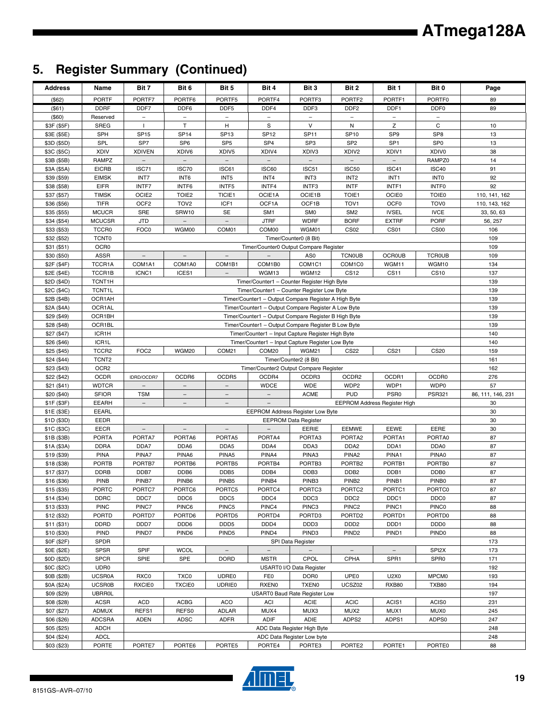## **5. Register Summary (Continued)**

| <b>Address</b>             | Name                          | Bit 7                    | Bit 6                                                                                                 | Bit 5                      | Bit 4                                                | Bit 3                                 | Bit 2                                  | Bit 1                               | Bit 0                      | Page              |
|----------------------------|-------------------------------|--------------------------|-------------------------------------------------------------------------------------------------------|----------------------------|------------------------------------------------------|---------------------------------------|----------------------------------------|-------------------------------------|----------------------------|-------------------|
| (\$62)                     | <b>PORTF</b>                  | PORTF7                   | PORTF6                                                                                                | PORTF5                     | PORTF4                                               | PORTF3                                | PORTF2                                 | PORTF1                              | PORTF0                     | 89                |
| (\$61)                     | <b>DDRF</b>                   | DDF7                     | DDF <sub>6</sub>                                                                                      | DDF <sub>5</sub>           | DDF4                                                 | DDF3                                  | DDF <sub>2</sub>                       | DDF1                                | DDF <sub>0</sub>           | 89                |
| (\$60)                     | Reserved                      | ÷,                       | $\qquad \qquad -$                                                                                     | $\qquad \qquad -$          |                                                      |                                       |                                        |                                     | $\qquad \qquad -$          |                   |
| \$3F (\$5F)                | <b>SREG</b>                   | $\mathbf{I}$             | T.                                                                                                    | н                          | S                                                    | $\vee$                                | N                                      | Z                                   | C                          | 10                |
| \$3E (\$5E)                | <b>SPH</b>                    | <b>SP15</b>              | SP <sub>14</sub>                                                                                      | SP <sub>13</sub>           | <b>SP12</b>                                          | <b>SP11</b>                           | <b>SP10</b>                            | SP <sub>9</sub>                     | SP <sub>8</sub>            | 13                |
| \$3D (\$5D)                | SPL                           | SP7                      | SP <sub>6</sub>                                                                                       | SP <sub>5</sub>            | SP <sub>4</sub>                                      | SP <sub>3</sub>                       | SP <sub>2</sub>                        | SP <sub>1</sub>                     | SP <sub>0</sub>            | 13                |
| \$3C (\$5C)                | <b>XDIV</b>                   | <b>XDIVEN</b>            | XDIV6                                                                                                 | XDIV5                      | XDIV4                                                | XDIV3                                 | XDIV <sub>2</sub>                      | XDIV1                               | XDIV0                      | 38                |
| \$3B (\$5B)                | RAMPZ                         | $\overline{\phantom{a}}$ | $\equiv$                                                                                              | $\overline{\phantom{m}}$   |                                                      | $\overline{\phantom{a}}$              |                                        |                                     | RAMPZ0                     | 14                |
| \$3A (\$5A)<br>\$39 (\$59) | <b>EICRB</b><br><b>EIMSK</b>  | ISC71<br>INT7            | ISC70<br>INT6                                                                                         | ISC61<br>INT5              | <b>ISC60</b><br>INT4                                 | ISC51<br>INT <sub>3</sub>             | <b>ISC50</b><br>INT <sub>2</sub>       | ISC41<br>INT <sub>1</sub>           | ISC40<br>INT <sub>0</sub>  | 91<br>92          |
| \$38 (\$58)                | <b>EIFR</b>                   | INTF7                    | INTF6                                                                                                 | INTF5                      | INTF4                                                | INTF3                                 | <b>INTF</b>                            | INTF1                               | <b>INTFO</b>               | 92                |
| \$37 (\$57)                | <b>TIMSK</b>                  | OCIE <sub>2</sub>        | TOIE <sub>2</sub>                                                                                     | TICIE1                     | OCIE1A                                               | OCIE1B                                | TOIE1                                  | <b>OCIE0</b>                        | <b>TOIE0</b>               | 110, 141, 162     |
| \$36 (\$56)                | <b>TIFR</b>                   | OCF <sub>2</sub>         | TOV <sub>2</sub>                                                                                      | ICF1                       | OCF1A                                                | OCF1B                                 | TOV <sub>1</sub>                       | OCF <sub>0</sub>                    | TOV <sub>0</sub>           | 110, 143, 162     |
| \$35 (\$55)                | <b>MCUCR</b>                  | <b>SRE</b>               | SRW10                                                                                                 | <b>SE</b>                  | SM <sub>1</sub>                                      | SM <sub>0</sub>                       | SM <sub>2</sub>                        | <b>IVSEL</b>                        | <b>IVCE</b>                | 33, 50, 63        |
| \$34 (\$54)                | <b>MCUCSR</b>                 | <b>JTD</b>               |                                                                                                       |                            | <b>JTRF</b>                                          | <b>WDRF</b>                           | <b>BORF</b>                            | <b>EXTRF</b>                        | <b>PORF</b>                | 56, 257           |
| \$33 (\$53)                | TCCR <sub>0</sub>             | FOC0                     | WGM00                                                                                                 | COM01                      | COM00                                                | WGM01                                 | <b>CS02</b>                            | CS <sub>01</sub>                    | CS <sub>00</sub>           | 106               |
| \$32 (\$52)                | <b>TCNT0</b>                  |                          |                                                                                                       |                            |                                                      | Timer/Counter0 (8 Bit)                |                                        |                                     |                            | 109               |
| \$31 (\$51)                | OCR <sub>0</sub>              |                          |                                                                                                       |                            | Timer/Counter0 Output Compare Register               |                                       |                                        |                                     |                            | 109               |
| \$30 (\$50)                | <b>ASSR</b>                   | $\overline{\phantom{a}}$ | $\overline{\phantom{a}}$                                                                              | $\overline{\phantom{a}}$   | $\equiv$                                             | AS <sub>0</sub>                       | <b>TCN0UB</b>                          | <b>OCROUB</b>                       | <b>TCR0UB</b>              | 109               |
| \$2F (\$4F)                | TCCR1A                        | COM1A1                   | COM1A0                                                                                                | COM1B1                     | COM1B0                                               | COM1C1                                | COM1C0                                 | WGM11                               | WGM10                      | 134               |
| \$2E (\$4E)                | TCCR1B                        | ICNC1                    | ICES1                                                                                                 |                            | WGM13                                                | WGM12                                 | CS12                                   | <b>CS11</b>                         | CS <sub>10</sub>           | 137               |
| \$2D (\$4D)                | TCNT1H                        |                          |                                                                                                       |                            | Timer/Counter1 - Counter Register High Byte          |                                       |                                        |                                     |                            | 139               |
| \$2C (\$4C)                | TCNT1L                        |                          |                                                                                                       |                            | Timer/Counter1 - Counter Register Low Byte           |                                       |                                        |                                     |                            | 139               |
| \$2B (\$4B)                | OCR1AH                        |                          |                                                                                                       |                            | Timer/Counter1 - Output Compare Register A High Byte |                                       |                                        |                                     |                            | 139               |
| \$2A (\$4A)                | OCR1AL                        |                          |                                                                                                       |                            | Timer/Counter1 - Output Compare Register A Low Byte  |                                       |                                        |                                     |                            | 139               |
| \$29 (\$49)                | OCR1BH<br>OCR1BL              |                          |                                                                                                       |                            | Timer/Counter1 - Output Compare Register B High Byte |                                       |                                        |                                     |                            | 139               |
| \$28 (\$48)<br>\$27 (\$47) | ICR1H                         |                          | Timer/Counter1 - Output Compare Register B Low Byte                                                   |                            |                                                      |                                       |                                        |                                     | 139<br>140                 |                   |
| \$26 (\$46)                | ICR1L                         |                          | Timer/Counter1 - Input Capture Register High Byte<br>Timer/Counter1 - Input Capture Register Low Byte |                            |                                                      |                                       |                                        |                                     | 140                        |                   |
| \$25 (\$45)                | TCCR <sub>2</sub>             | FOC <sub>2</sub>         | COM20<br><b>CS22</b><br>CS21<br><b>CS20</b><br>WGM20<br>COM <sub>21</sub><br>WGM21                    |                            |                                                      |                                       |                                        |                                     |                            | 159               |
| \$24 (\$44)                | TCNT <sub>2</sub>             |                          |                                                                                                       |                            |                                                      | Timer/Counter2 (8 Bit)                |                                        |                                     |                            | 161               |
| \$23 (\$43)                | OCR <sub>2</sub>              |                          |                                                                                                       |                            | Timer/Counter2 Output Compare Register               |                                       |                                        |                                     |                            | 162               |
| \$22 (\$42)                | <b>OCDR</b>                   | IDRD/OCDR7               | OCDR6                                                                                                 | OCDR5                      | OCDR4                                                | OCDR3                                 | OCDR2                                  | OCDR1                               | OCDR <sub>0</sub>          | 276               |
| \$21 (\$41)                | <b>WDTCR</b>                  |                          |                                                                                                       |                            | <b>WDCE</b>                                          | <b>WDE</b>                            | WDP2                                   | WDP1                                | WDP0                       | 57                |
| \$20 (\$40)                | <b>SFIOR</b>                  | <b>TSM</b>               | $\overline{\phantom{a}}$                                                                              | $\overline{\phantom{a}}$   | $\overline{\phantom{a}}$                             | <b>ACME</b>                           | <b>PUD</b>                             | PSR <sub>0</sub>                    | <b>PSR321</b>              | 86, 111, 146, 231 |
| \$1F (\$3F)                | EEARH                         |                          | $\sim$                                                                                                | $\qquad \qquad -$          |                                                      |                                       |                                        | <b>EEPROM Address Register High</b> |                            | 30                |
| \$1E (\$3E)                | <b>EEARL</b>                  |                          |                                                                                                       |                            | EEPROM Address Register Low Byte                     |                                       |                                        |                                     |                            | 30                |
| \$1D (\$3D)                | EEDR                          |                          |                                                                                                       |                            |                                                      | <b>EEPROM Data Register</b>           |                                        |                                     |                            | 30                |
| \$1C (\$3C)                | <b>EECR</b>                   |                          |                                                                                                       |                            |                                                      | EERIE                                 | <b>EEMWE</b>                           | EEWE                                | EERE                       | 30                |
| \$1B (\$3B)                | <b>PORTA</b>                  | PORTA7                   | PORTA6                                                                                                | PORTA5                     | PORTA4                                               | PORTA3                                | PORTA <sub>2</sub>                     | PORTA1                              | PORTA0                     | 87                |
| \$1A (\$3A)                | <b>DDRA</b>                   | DDA7                     | DDA6                                                                                                  | DDA5                       | DDA4                                                 | DDA3                                  | DDA <sub>2</sub>                       | DDA1                                | DDA0                       | 87                |
| \$19 (\$39)                | <b>PINA</b>                   | PINA7                    | PINA6                                                                                                 | PINA <sub>5</sub>          | PINA4                                                | PINA3                                 | PINA <sub>2</sub>                      | PINA1                               | PINA0                      | 87                |
| \$18 (\$38)                | <b>PORTB</b>                  | PORTB7<br>DDB7           | PORTB6<br>DDB6                                                                                        | PORTB5<br>DDB <sub>5</sub> | PORTB4                                               | PORTB3                                | PORTB <sub>2</sub><br>DDB <sub>2</sub> | PORTB1<br>DDB1                      | PORTB0<br>DDB <sub>0</sub> | 87<br>87          |
| \$17 (\$37)<br>\$16 (\$36) | <b>DDRB</b><br><b>PINB</b>    | PINB7                    | PINB <sub>6</sub>                                                                                     | PINB <sub>5</sub>          | DDB4<br>PINB4                                        | DDB <sub>3</sub><br>PINB <sub>3</sub> | PINB <sub>2</sub>                      | PINB1                               | PINB <sub>0</sub>          | 87                |
| \$15 (\$35)                | <b>PORTC</b>                  | PORTC7                   | PORTC6                                                                                                | PORTC5                     | PORTC4                                               | PORTC3                                | PORTC2                                 | PORTC1                              | PORTC0                     | 87                |
| \$14(\$34)                 | <b>DDRC</b>                   | DDC7                     | DDC6                                                                                                  | DDC5                       | DDC4                                                 | DDC3                                  | DDC <sub>2</sub>                       | DDC1                                | DDC0                       | 87                |
| \$13 (\$33)                | <b>PINC</b>                   | PINC7                    | PINC6                                                                                                 | PINC5                      | PINC4                                                | PINC3                                 | PINC <sub>2</sub>                      | PINC1                               | <b>PINC0</b>               | 88                |
| \$12 (\$32)                | <b>PORTD</b>                  | PORTD7                   | PORTD6                                                                                                | PORTD5                     | PORTD4                                               | PORTD3                                | PORTD <sub>2</sub>                     | PORTD1                              | PORTD0                     | 88                |
| \$11(\$31)                 | <b>DDRD</b>                   | DDD7                     | DDD6                                                                                                  | DDD <sub>5</sub>           | DDD4                                                 | DDD3                                  | DDD <sub>2</sub>                       | DDD1                                | DDD <sub>0</sub>           | 88                |
| \$10 (\$30)                | <b>PIND</b>                   | PIND7                    | PIND6                                                                                                 | PIND <sub>5</sub>          | PIND4                                                | PIND <sub>3</sub>                     | PIND <sub>2</sub>                      | PIND1                               | PIND <sub>0</sub>          | 88                |
| \$0F (\$2F)                | <b>SPDR</b>                   |                          |                                                                                                       |                            |                                                      | SPI Data Register                     |                                        |                                     |                            | 173               |
| \$0E (\$2E)                | <b>SPSR</b>                   | <b>SPIF</b>              | <b>WCOL</b>                                                                                           | $\overline{\phantom{a}}$   | $\qquad \qquad -$                                    | $\qquad \qquad -$                     |                                        | $\overline{\phantom{m}}$            | SPI <sub>2</sub> X         | 173               |
| \$0D (\$2D)                | <b>SPCR</b>                   | SPIE                     | SPE                                                                                                   | <b>DORD</b>                | <b>MSTR</b>                                          | CPOL                                  | CPHA                                   | SPR1                                | SPR <sub>0</sub>           | 171               |
| \$0C (\$2C)                | UDR0                          |                          |                                                                                                       |                            |                                                      | USART0 I/O Data Register              |                                        |                                     |                            | 192               |
| \$0B (\$2B)                | <b>UCSR0A</b>                 | RXC0                     | TXC0                                                                                                  | UDRE0                      | FE0                                                  | DOR <sub>0</sub>                      | UPE <sub>0</sub>                       | U2X0                                | MPCM <sub>0</sub>          | 193               |
| \$0A (\$2A)                | <b>UCSR0B</b>                 | <b>RXCIE0</b>            | <b>TXCIE0</b>                                                                                         | <b>UDRIE0</b>              | RXEN0                                                | <b>TXEN0</b>                          | UCSZ02                                 | <b>RXB80</b>                        | <b>TXB80</b>               | 194               |
| \$09 (\$29)                | <b>UBRR0L</b>                 |                          |                                                                                                       |                            |                                                      | USART0 Baud Rate Register Low         |                                        |                                     |                            | 197               |
| \$08 (\$28)                | ACSR                          | <b>ACD</b>               | <b>ACBG</b>                                                                                           | ACO                        | ACI                                                  | <b>ACIE</b>                           | <b>ACIC</b>                            | ACIS1                               | ACIS0                      | 231               |
| \$07 (\$27)<br>\$06 (\$26) | <b>ADMUX</b><br><b>ADCSRA</b> | REFS1<br><b>ADEN</b>     | REFS0<br><b>ADSC</b>                                                                                  | ADLAR<br><b>ADFR</b>       | MUX4<br>ADIF                                         | MUX3<br><b>ADIE</b>                   | MUX <sub>2</sub><br>ADPS2              | MUX1<br>ADPS1                       | MUX0<br>ADPS0              | 245<br>247        |
| \$05(\$25)                 | <b>ADCH</b>                   |                          |                                                                                                       |                            |                                                      | ADC Data Register High Byte           |                                        |                                     |                            | 248               |
| \$04 (\$24)                | <b>ADCL</b>                   |                          |                                                                                                       |                            |                                                      | ADC Data Register Low byte            |                                        |                                     |                            | 248               |
| \$03 (\$23)                | <b>PORTE</b>                  | PORTE7                   | PORTE6                                                                                                | PORTE5                     | PORTE4                                               | PORTE3                                | PORTE2                                 | PORTE1                              | PORTE0                     | 88                |

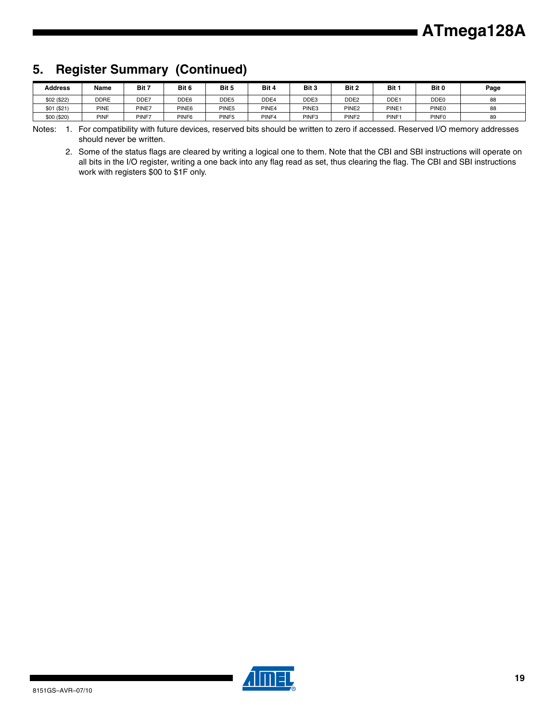### **5. Register Summary (Continued)**

| <b>Address</b> | Name        | Bit 7 | Bit 6             | Bit 5             | Bit 4             | Bit 3             | Bit 2             | Bit               | Bit 0             | Page |
|----------------|-------------|-------|-------------------|-------------------|-------------------|-------------------|-------------------|-------------------|-------------------|------|
| \$02 (\$22)    | <b>DDRE</b> | DDE7  | DDE <sub>6</sub>  | DDE5              | DDE4              | DDE3              | DDE <sub>2</sub>  | DDE <sup>-</sup>  | DDE <sub>0</sub>  | 88   |
| \$01 (\$21)    | <b>PINE</b> | PINE7 | PINE <sub>6</sub> | PINE5             | PINE4             | PINE3             | PINE <sub>2</sub> | PINE <sub>1</sub> | PINE0             | 88   |
| \$00 (\$20)    | <b>PINF</b> | PINF7 | PINF <sub>6</sub> | PINF <sub>5</sub> | PINF <sub>4</sub> | PINF <sub>3</sub> | PINF <sub>2</sub> | PINF <sub>1</sub> | PINF <sub>0</sub> | 89   |

Notes: 1. For compatibility with future devices, reserved bits should be written to zero if accessed. Reserved I/O memory addresses should never be written.

2. Some of the status flags are cleared by writing a logical one to them. Note that the CBI and SBI instructions will operate on all bits in the I/O register, writing a one back into any flag read as set, thus clearing the flag. The CBI and SBI instructions work with registers \$00 to \$1F only.

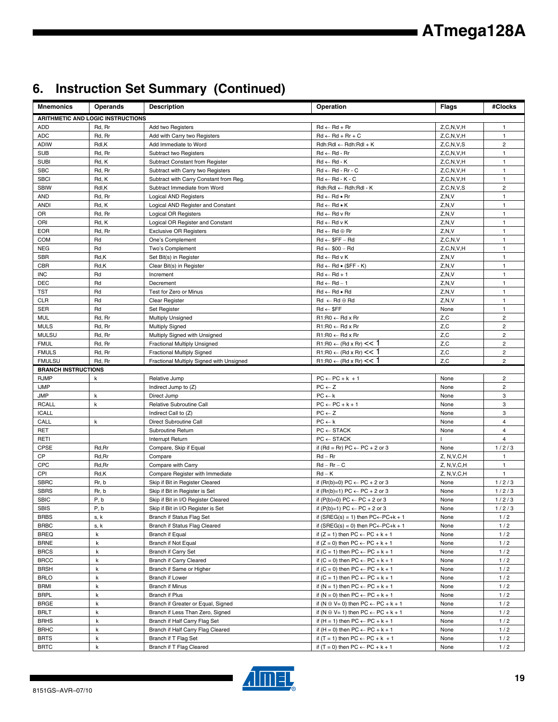# **6. Instruction Set Summary (Continued)**

| <b>Mnemonics</b>           | <b>Operands</b>                          | <b>Description</b>                          | Operation                                             | Flags         | #Clocks                 |
|----------------------------|------------------------------------------|---------------------------------------------|-------------------------------------------------------|---------------|-------------------------|
|                            | <b>ARITHMETIC AND LOGIC INSTRUCTIONS</b> |                                             |                                                       |               |                         |
| <b>ADD</b>                 | Rd, Rr                                   | Add two Registers                           | $Rd \leftarrow Rd + Rr$                               | Z, C, N, V, H | $\mathbf{1}$            |
| ADC                        | Rd, Rr                                   | Add with Carry two Registers                | $Rd \leftarrow Rd + Rr + C$                           | Z, C, N, V, H | $\mathbf{1}$            |
| <b>ADIW</b>                | Rdl,K                                    | Add Immediate to Word                       | $Rdh:Rdl \leftarrow Rdh:Rdl + K$                      | Z, C, N, V, S | $\overline{\mathbf{c}}$ |
| <b>SUB</b>                 | Rd, Rr                                   | Subtract two Registers                      | $Rd \leftarrow Rd - Rr$                               | Z, C, N, V, H | $\mathbf{1}$            |
| <b>SUBI</b>                | Rd, K                                    | Subtract Constant from Register             | $Rd \leftarrow Rd - K$                                | Z, C, N, V, H | $\mathbf{1}$            |
| <b>SBC</b>                 | Rd, Rr                                   | Subtract with Carry two Registers           | $Rd \leftarrow Rd - Rr - C$                           | Z, C, N, V, H | $\mathbf{1}$            |
| <b>SBCI</b>                | Rd, K                                    | Subtract with Carry Constant from Reg.      | $Rd \leftarrow Rd - K - C$                            | Z, C, N, V, H | $\mathbf{1}$            |
| <b>SBIW</b>                | Rdl,K                                    | Subtract Immediate from Word                | Rdh:Rdl ← Rdh:Rdl - K                                 | Z, C, N, V, S | $\overline{c}$          |
| <b>AND</b>                 | Rd, Rr                                   | <b>Logical AND Registers</b>                | $Rd \leftarrow Rd \bullet Rr$                         | Z, N, V       | $\mathbf{1}$            |
| <b>ANDI</b>                | Rd, K                                    | Logical AND Register and Constant           | $Rd \leftarrow Rd \bullet K$                          | Z, N, V       | $\mathbf{1}$            |
| OR                         | Rd, Rr                                   | Logical OR Registers                        | $Rd \leftarrow Rd$ v $Rr$                             | Z, N, V       | $\mathbf{1}$            |
| ORI                        | Rd, K                                    | Logical OR Register and Constant            | $Rd \leftarrow Rd \vee K$                             | Z, N, V       | $\mathbf{1}$            |
| <b>EOR</b>                 | Rd, Rr                                   | <b>Exclusive OR Registers</b>               | $Rd \leftarrow Rd \oplus Rr$                          | Z, N, V       | $\mathbf{1}$            |
| <b>COM</b>                 | Rd                                       | One's Complement                            | $Rd \leftarrow $FF - Rd$                              | Z, C, N, V    | $\mathbf{1}$            |
| <b>NEG</b>                 | Rd                                       | Two's Complement                            | $Rd \leftarrow $00 - Rd$                              | Z, C, N, V, H | $\mathbf{1}$            |
| <b>SBR</b>                 | Rd,K                                     | Set Bit(s) in Register                      | $Rd \leftarrow Rd \vee K$                             | Z, N, V       | $\mathbf{1}$            |
| CBR                        | Rd,K                                     | Clear Bit(s) in Register                    | $Rd \leftarrow Rd \bullet (\$FF - K)$                 | Z, N, V       | $\mathbf{1}$            |
| <b>INC</b>                 | Rd                                       | Increment                                   | $Rd \leftarrow Rd + 1$                                | Z, N, V       | $\mathbf{1}$            |
| <b>DEC</b>                 | Rd                                       | Decrement                                   | $Rd \leftarrow Rd - 1$                                | Z, N, V       | $\mathbf{1}$            |
| <b>TST</b>                 | Rd                                       | Test for Zero or Minus                      | $Rd \leftarrow Rd \bullet Rd$                         | Z, N, V       | $\mathbf{1}$            |
| <b>CLR</b>                 | Rd                                       | Clear Register                              | $Rd \leftarrow Rd \oplus Rd$                          | Z, N, V       | $\mathbf{1}$            |
| <b>SER</b>                 | Rd                                       | Set Register                                | $Rd \leftarrow$ \$FF                                  | None          | $\mathbf{1}$            |
| <b>MUL</b>                 | Rd, Rr                                   | <b>Multiply Unsigned</b>                    | $R1:R0 \leftarrow Rd \times Rr$                       | Z,C           | $\overline{c}$          |
| <b>MULS</b>                | Rd, Rr                                   | <b>Multiply Signed</b>                      | $R1:R0 \leftarrow Rd \times Rr$                       | Z,C           | $\overline{c}$          |
| <b>MULSU</b>               | Rd, Rr                                   | Multiply Signed with Unsigned               | $R1:R0 \leftarrow Rd \times Rr$                       | Z, C          | $\overline{c}$          |
| <b>FMUL</b>                | Rd, Rr                                   | Fractional Multiply Unsigned                | $R1:R0 \leftarrow (Rd \times Rr) \leq 1$              | Z, C          | $\mathbf 2$             |
| <b>FMULS</b>               | Rd, Rr                                   | <b>Fractional Multiply Signed</b>           | $R1:R0 \leftarrow (Rd \times Rr) \leq 1$              | Z,C           | $\overline{\mathbf{c}}$ |
| <b>FMULSU</b>              | Rd, Rr                                   | Fractional Multiply Signed with Unsigned    | $R1:R0 \leftarrow (Rd \times Rr) \leq 1$              | Z, C          | $\overline{2}$          |
| <b>BRANCH INSTRUCTIONS</b> |                                          |                                             |                                                       |               |                         |
| <b>RJMP</b>                | k                                        | Relative Jump                               | $PC \leftarrow PC + k + 1$                            | None          | $\overline{c}$          |
| <b>IJMP</b>                |                                          | Indirect Jump to (Z)                        | $PC \leftarrow Z$                                     | None          | $\overline{c}$          |
| <b>JMP</b>                 | k                                        | Direct Jump                                 | $PC \leftarrow k$                                     | None          | 3                       |
| <b>RCALL</b>               | $\mathsf k$                              | Relative Subroutine Call                    | $PC \leftarrow PC + k + 1$                            | None          | 3                       |
| <b>ICALL</b>               |                                          | Indirect Call to (Z)                        | $PC \leftarrow Z$<br>$PC \leftarrow k$                | None          | 3<br>4                  |
| CALL<br>RET                | k                                        | Direct Subroutine Call<br>Subroutine Return | $PC \leftarrow$ STACK                                 | None<br>None  | $\overline{4}$          |
| RETI                       |                                          | Interrupt Return                            | $PC \leftarrow$ STACK                                 |               | $\overline{\mathbf{4}}$ |
| <b>CPSE</b>                | Rd, Rr                                   | Compare, Skip if Equal                      | if (Rd = Rr) PC $\leftarrow$ PC + 2 or 3              | None          | 1/2/3                   |
| CP                         | Rd, Rr                                   | Compare                                     | $Rd - Rr$                                             | Z, N, V, C, H | $\mathbf{1}$            |
| <b>CPC</b>                 | Rd,Rr                                    | Compare with Carry                          | $Rd - Rr - C$                                         | Z, N, V, C, H | $\mathbf{1}$            |
| CPI                        | Rd,K                                     | Compare Register with Immediate             | $Rd - K$                                              | Z, N, V, C, H | $\mathbf{1}$            |
| <b>SBRC</b>                | Rr, b                                    | Skip if Bit in Register Cleared             | if $(Rr(b)=0) PC \leftarrow PC + 2$ or 3              | None          | 1/2/3                   |
| <b>SBRS</b>                | Rr, b                                    | Skip if Bit in Register is Set              | if $(Rr(b)=1) PC \leftarrow PC + 2$ or 3              | None          | 1/2/3                   |
| <b>SBIC</b>                | P, b                                     | Skip if Bit in I/O Register Cleared         | if $(P(b)=0) PC \leftarrow PC + 2$ or 3               | None          | 1/2/3                   |
| SBIS                       | P, b                                     | Skip if Bit in I/O Register is Set          | if $(P(b)=1) PC \leftarrow PC + 2$ or 3               | None          | 1/2/3                   |
| <b>BRBS</b>                | s, k                                     | Branch if Status Flag Set                   | if (SREG(s) = 1) then $PC \leftarrow PC + k + 1$      | None          | 1/2                     |
| <b>BRBC</b>                | s, k                                     | Branch if Status Flag Cleared               | if $(SREG(s) = 0)$ then $PC \leftarrow PC + k + 1$    | None          | 1/2                     |
| <b>BREQ</b>                | $\mathsf k$                              | Branch if Equal                             | if $(Z = 1)$ then PC $\leftarrow$ PC + k + 1          | None          | 1/2                     |
| <b>BRNE</b>                | k                                        | Branch if Not Equal                         | if $(Z = 0)$ then $PC \leftarrow PC + k + 1$          | None          | 1/2                     |
| <b>BRCS</b>                | k                                        | Branch if Carry Set                         | if $(C = 1)$ then $PC \leftarrow PC + k + 1$          | None          | 1/2                     |
| <b>BRCC</b>                | k                                        | Branch if Carry Cleared                     | if $(C = 0)$ then $PC \leftarrow PC + k + 1$          | None          | 1/2                     |
| <b>BRSH</b>                | k                                        | Branch if Same or Higher                    | if $(C = 0)$ then $PC \leftarrow PC + k + 1$          | None          | 1/2                     |
| <b>BRLO</b>                | k                                        | Branch if Lower                             | if $(C = 1)$ then $PC \leftarrow PC + k + 1$          | None          | 1/2                     |
| BRMI                       | k                                        | <b>Branch if Minus</b>                      | if $(N = 1)$ then $PC \leftarrow PC + k + 1$          | None          | 1/2                     |
| <b>BRPL</b>                | k                                        | Branch if Plus                              | if $(N = 0)$ then $PC \leftarrow PC + k + 1$          | None          | 1/2                     |
| <b>BRGE</b>                | k                                        | Branch if Greater or Equal, Signed          | if $(N \oplus V = 0)$ then $PC \leftarrow PC + k + 1$ | None          | 1/2                     |
| <b>BRLT</b>                | k                                        | Branch if Less Than Zero, Signed            | if $(N \oplus V = 1)$ then $PC \leftarrow PC + k + 1$ | None          | 1/2                     |
| <b>BRHS</b>                | k                                        | Branch if Half Carry Flag Set               | if $(H = 1)$ then $PC \leftarrow PC + k + 1$          | None          | 1/2                     |
| <b>BRHC</b>                | k                                        | Branch if Half Carry Flag Cleared           | if $(H = 0)$ then $PC \leftarrow PC + k + 1$          | None          | 1/2                     |
| <b>BRTS</b>                | k                                        | Branch if T Flag Set                        | if $(T = 1)$ then PC $\leftarrow$ PC + k + 1          | None          | 1/2                     |
| <b>BRTC</b>                | k                                        | Branch if T Flag Cleared                    | if $(T = 0)$ then $PC \leftarrow PC + k + 1$          | None          | 1/2                     |

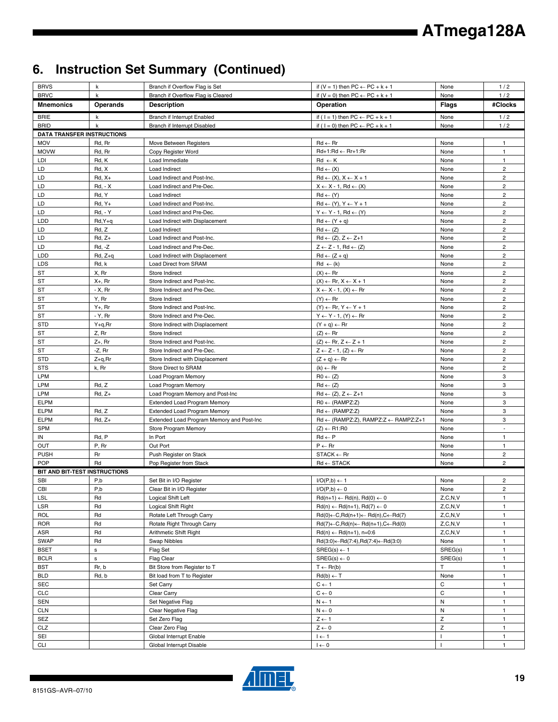## **6. Instruction Set Summary (Continued)**

| <b>BRVS</b>                       | k                     | Branch if Overflow Flag is Set                 | if $(V = 1)$ then $PC \leftarrow PC + k + 1$                                            | None               | 1/2                              |
|-----------------------------------|-----------------------|------------------------------------------------|-----------------------------------------------------------------------------------------|--------------------|----------------------------------|
| <b>BRVC</b>                       | k                     | Branch if Overflow Flag is Cleared             | if $(V = 0)$ then $PC \leftarrow PC + k + 1$                                            | None               | 1/2                              |
| <b>Mnemonics</b>                  | <b>Operands</b>       | <b>Description</b>                             | Operation                                                                               | <b>Flags</b>       | #Clocks                          |
| <b>BRIE</b>                       | k                     | Branch if Interrupt Enabled                    | if ( $1 = 1$ ) then $PC \leftarrow PC + k + 1$                                          | None               | 1/2                              |
| <b>BRID</b>                       | k                     | Branch if Interrupt Disabled                   | if ( $1 = 0$ ) then $PC \leftarrow PC + k + 1$                                          | None               | 1/2                              |
| <b>DATA TRANSFER INSTRUCTIONS</b> |                       |                                                |                                                                                         |                    |                                  |
| <b>MOV</b>                        | Rd, Rr                | Move Between Registers                         | $Rd \leftarrow Rr$                                                                      | None               | $\mathbf{1}$                     |
| <b>MOVW</b>                       | Rd, Rr                | Copy Register Word                             | Rd+1:Rd ← Rr+1:Rr                                                                       | None               | $\mathbf{1}$                     |
| LDI<br>LD                         | Rd, K                 | Load Immediate<br>Load Indirect                | $Rd \leftarrow K$                                                                       | None               | $\mathbf{1}$<br>$\overline{2}$   |
| LD                                | Rd, X<br>$Rd, X+$     | Load Indirect and Post-Inc.                    | $Rd \leftarrow (X)$<br>$Rd \leftarrow (X), X \leftarrow X + 1$                          | None<br>None       | $\overline{2}$                   |
| LD                                | <b>Rd. - X</b>        | Load Indirect and Pre-Dec.                     | $X \leftarrow X - 1$ , Rd $\leftarrow (X)$                                              | None               | $\overline{2}$                   |
| LD                                | Rd, Y                 | Load Indirect                                  | $Rd \leftarrow (Y)$                                                                     | None               | $\overline{c}$                   |
| LD                                | $Rd, Y+$              | Load Indirect and Post-Inc.                    | $Rd \leftarrow (Y), Y \leftarrow Y + 1$                                                 | None               | $\mathbf 2$                      |
| LD                                | <b>Rd, - Y</b>        | Load Indirect and Pre-Dec.                     | $Y \leftarrow Y - 1$ , Rd $\leftarrow (Y)$                                              | None               | $\overline{c}$                   |
| LDD                               | $Rd, Y+q$             | Load Indirect with Displacement                | $Rd \leftarrow (Y + q)$                                                                 | None               | $\overline{\mathbf{c}}$          |
| LD                                | Rd, Z                 | Load Indirect                                  | $Rd \leftarrow (Z)$                                                                     | None               | $\overline{2}$                   |
| LD                                | $Rd, Z+$              | Load Indirect and Post-Inc.                    | $Rd \leftarrow (Z), Z \leftarrow Z+1$                                                   | None               | $\overline{c}$                   |
| LD                                | $Rd, -Z$              | Load Indirect and Pre-Dec.                     | $Z \leftarrow Z - 1$ , Rd $\leftarrow (Z)$                                              | None               | $\overline{c}$                   |
| LDD                               | $Rd, Z+q$             | Load Indirect with Displacement                | $Rd \leftarrow (Z + q)$                                                                 | None               | $\overline{c}$                   |
| <b>LDS</b>                        | Rd, k                 | Load Direct from SRAM                          | $Rd \leftarrow (k)$                                                                     | None               | $\overline{c}$                   |
| ST                                | X, Rr                 | Store Indirect                                 | $(X) \leftarrow Rr$                                                                     | None               | 2                                |
| ST                                | X+, Rr                | Store Indirect and Post-Inc.                   | $(X) \leftarrow$ Rr, $X \leftarrow X + 1$                                               | None               | $\overline{2}$                   |
| ST                                | $- X$ , Rr            | Store Indirect and Pre-Dec.                    | $X \leftarrow X - 1$ , $(X) \leftarrow Rr$                                              | None               | $\overline{c}$                   |
| ST<br>ST                          | Y, Rr<br>$Y_{+}$ , Rr | Store Indirect<br>Store Indirect and Post-Inc. | $(Y) \leftarrow Rr$                                                                     | None<br>None       | $\overline{c}$<br>$\overline{c}$ |
| ST                                | - Y, Rr               | Store Indirect and Pre-Dec.                    | $(Y) \leftarrow$ Rr, $Y \leftarrow Y + 1$<br>$Y \leftarrow Y - 1$ , $(Y) \leftarrow Rr$ | None               | $\overline{c}$                   |
| <b>STD</b>                        | $Y+q, Rr$             | Store Indirect with Displacement               | $(Y + q) \leftarrow Rr$                                                                 | None               | $\overline{c}$                   |
| ST                                | Z, Rr                 | Store Indirect                                 | $(Z) \leftarrow$ Rr                                                                     | None               | $\overline{c}$                   |
| ST                                | $Z+$ , Rr             | Store Indirect and Post-Inc.                   | $(Z) \leftarrow$ Rr, $Z \leftarrow Z + 1$                                               | None               | $\overline{2}$                   |
| <b>ST</b>                         | $-Z$ , Rr             | Store Indirect and Pre-Dec.                    | $Z \leftarrow Z - 1$ , $(Z) \leftarrow Rr$                                              | None               | $\overline{c}$                   |
| <b>STD</b>                        | Z+q,Rr                | Store Indirect with Displacement               | $(Z + q) \leftarrow Rr$                                                                 | None               | $\overline{c}$                   |
| <b>STS</b>                        | k, Rr                 | Store Direct to SRAM                           | $(k) \leftarrow Rr$                                                                     | None               | $\overline{2}$                   |
| LPM                               |                       | Load Program Memory                            | $R0 \leftarrow (Z)$                                                                     | None               | 3                                |
| LPM                               | Rd, Z                 | Load Program Memory                            | $Rd \leftarrow (Z)$                                                                     | None               | 3                                |
| LPM                               | $Rd, Z+$              | Load Program Memory and Post-Inc               | $Rd \leftarrow (Z), Z \leftarrow Z+1$                                                   | None               | 3                                |
| <b>ELPM</b>                       |                       | Extended Load Program Memory                   | $RO \leftarrow (RAMPZ:Z)$                                                               | None               | 3                                |
| <b>ELPM</b>                       | Rd, Z                 | <b>Extended Load Program Memory</b>            | $Rd \leftarrow (RAMPZ:Z)$                                                               | None               | 3                                |
| <b>ELPM</b><br><b>SPM</b>         | $Rd, Z+$              | Extended Load Program Memory and Post-Inc      | $Rd \leftarrow (RAMPZ:Z), RAMPZ:Z \leftarrow RAMPZ:Z+1$                                 | None               | 3                                |
| IN                                | Rd, P                 | Store Program Memory<br>In Port                | $(Z) \leftarrow R1:R0$<br>$Rd \leftarrow P$                                             | None<br>None       | $\mathbf{1}$                     |
| OUT                               | P, Rr                 | Out Port                                       | $P \leftarrow Rr$                                                                       | None               | $\mathbf{1}$                     |
| <b>PUSH</b>                       | Rr                    | Push Register on Stack                         | $STACK \leftarrow Rr$                                                                   | None               | $\overline{c}$                   |
| <b>POP</b>                        | Rd                    | Pop Register from Stack                        | $Rd \leftarrow$ STACK                                                                   | None               | $\overline{c}$                   |
| BIT AND BIT-TEST INSTRUCTIONS     |                       |                                                |                                                                                         |                    |                                  |
| <b>SBI</b>                        | P,b                   | Set Bit in I/O Register                        | $I/O(P,b) \leftarrow 1$                                                                 | None               | $\overline{c}$                   |
| CBI                               | P,b                   | Clear Bit in I/O Register                      | $I/O(P,b) \leftarrow 0$                                                                 | None               | $^{2}$                           |
| <b>LSL</b>                        | Rd                    | Logical Shift Left                             | $Rd(n+1) \leftarrow Rd(n), Rd(0) \leftarrow 0$                                          | Z, C, N, V         | $\mathbf{1}$                     |
| LSR                               | Rd                    | Logical Shift Right                            | $Rd(n) \leftarrow Rd(n+1), Rd(7) \leftarrow 0$                                          | Z, C, N, V         | $\mathbf{1}$                     |
| ROL                               | Rd                    | Rotate Left Through Carry                      | $Rd(0) \leftarrow C, Rd(n+1) \leftarrow Rd(n), C \leftarrow Rd(7)$                      | Z, C, N, V         | $\mathbf{1}$                     |
| <b>ROR</b>                        | Rd                    | Rotate Right Through Carry                     | $Rd(7) \leftarrow C, Rd(n) \leftarrow Rd(n+1), C \leftarrow Rd(0)$                      | Z, C, N, V         | $\mathbf{1}$                     |
| ASR<br><b>SWAP</b>                | Rd<br>Rd              | Arithmetic Shift Right<br>Swap Nibbles         | $Rd(n) \leftarrow Rd(n+1), n=0:6$                                                       | Z, C, N, V<br>None | $\mathbf{1}$<br>$\mathbf{1}$     |
| <b>BSET</b>                       | $\mathbf s$           | Flag Set                                       | $Rd(3:0) \leftarrow Rd(7:4), Rd(7:4) \leftarrow Rd(3:0)$<br>$SREG(s) \leftarrow 1$      | SREG(s)            | $\mathbf{1}$                     |
| <b>BCLR</b>                       | $\mathbf{s}$          | Flag Clear                                     | $SREG(s) \leftarrow 0$                                                                  | SREG(s)            | $\mathbf{1}$                     |
| <b>BST</b>                        | Rr, b                 | Bit Store from Register to T                   | $T \leftarrow Rr(b)$                                                                    | T                  | $\mathbf{1}$                     |
| <b>BLD</b>                        | Rd, b                 | Bit load from T to Register                    | $Rd(b) \leftarrow T$                                                                    | None               | $\mathbf{1}$                     |
| <b>SEC</b>                        |                       | Set Carry                                      | $C \leftarrow 1$                                                                        | С                  | $\mathbf{1}$                     |
| <b>CLC</b>                        |                       | Clear Carry                                    | $C \leftarrow 0$                                                                        | С                  | $\mathbf{1}$                     |
| <b>SEN</b>                        |                       | Set Negative Flag                              | $N \leftarrow 1$                                                                        | ${\sf N}$          | $\mathbf{1}$                     |
| <b>CLN</b>                        |                       | Clear Negative Flag                            | $N \leftarrow 0$                                                                        | N                  | $\mathbf{1}$                     |
| <b>SEZ</b>                        |                       | Set Zero Flag                                  | $Z \leftarrow 1$                                                                        | z                  | $\mathbf{1}$                     |
| CLZ                               |                       | Clear Zero Flag                                | $Z \leftarrow 0$                                                                        | Z                  | $\mathbf{1}$                     |
| SEI                               |                       | Global Interrupt Enable                        | $I \leftarrow 1$                                                                        |                    | $\mathbf{1}$                     |
| <b>CLI</b>                        |                       | Global Interrupt Disable                       | $I \leftarrow 0$                                                                        |                    | $\mathbf{1}$                     |

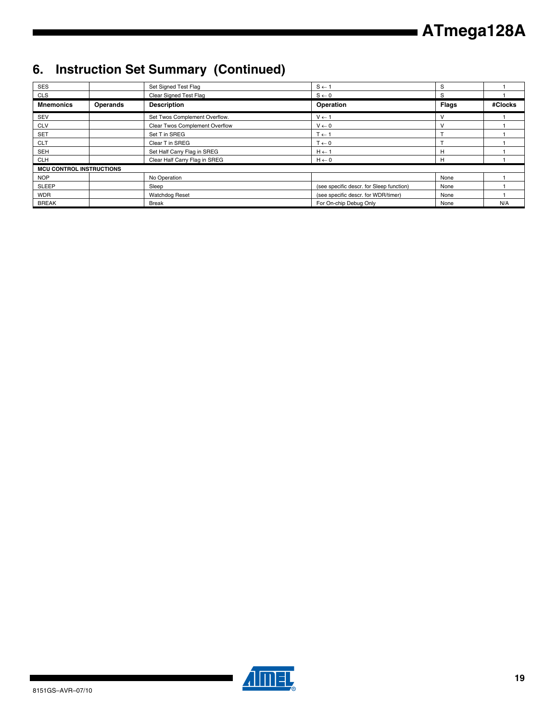## **6. Instruction Set Summary (Continued)**

| <b>SES</b>                      |                 | Set Signed Test Flag           | $S \leftarrow 1$                         | S            |         |
|---------------------------------|-----------------|--------------------------------|------------------------------------------|--------------|---------|
| <b>CLS</b>                      |                 | Clear Signed Test Flag         | $S \leftarrow 0$                         | S            |         |
| <b>Mnemonics</b>                | <b>Operands</b> | <b>Description</b>             | Operation                                | <b>Flags</b> | #Clocks |
| <b>SEV</b>                      |                 | Set Twos Complement Overflow.  | $V \leftarrow 1$                         | $\vee$       |         |
| <b>CLV</b>                      |                 | Clear Twos Complement Overflow | $V \leftarrow 0$                         | $\vee$       |         |
| <b>SET</b>                      |                 | Set T in SREG                  | $T \leftarrow 1$                         |              |         |
| <b>CLT</b>                      |                 | Clear T in SREG                | $T \leftarrow 0$                         |              |         |
| <b>SEH</b>                      |                 | Set Half Carry Flag in SREG    | $H \leftarrow 1$                         | н            |         |
| <b>CLH</b>                      |                 | Clear Half Carry Flag in SREG  | $H \leftarrow 0$                         | н            |         |
| <b>MCU CONTROL INSTRUCTIONS</b> |                 |                                |                                          |              |         |
| <b>NOP</b>                      |                 | No Operation                   |                                          | None         |         |
| <b>SLEEP</b>                    |                 | Sleep                          | (see specific descr. for Sleep function) | None         |         |
| <b>WDR</b>                      |                 | <b>Watchdog Reset</b>          | (see specific descr. for WDR/timer)      | None         |         |
| <b>BREAK</b>                    |                 | <b>Break</b>                   | For On-chip Debug Only                   | None         | N/A     |



▊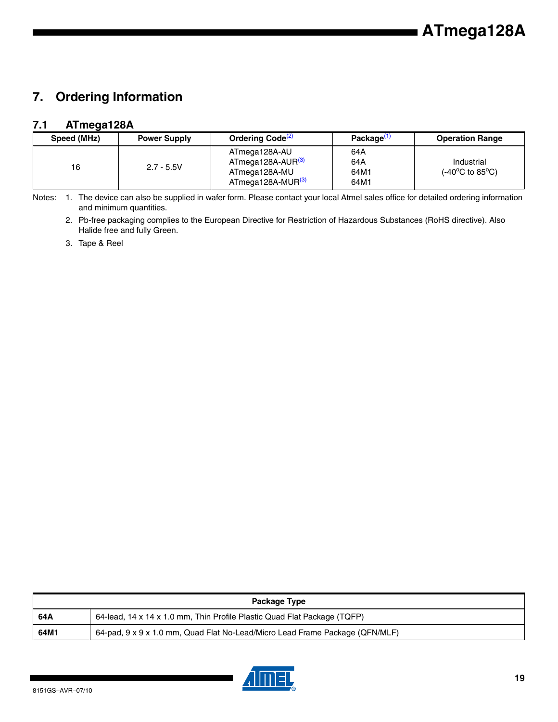### **7. Ordering Information**

### **7.1 ATmega128A**

| Speed (MHz) | <b>Power Supply</b> | Ordering Code <sup>(2)</sup>                                                                     | Package <sup>(1</sup>      | <b>Operation Range</b>                                               |
|-------------|---------------------|--------------------------------------------------------------------------------------------------|----------------------------|----------------------------------------------------------------------|
| 16          | $2.7 - 5.5V$        | ATmega128A-AU<br>ATmega128A-AUR <sup>(3)</sup><br>ATmega128A-MU<br>ATmega128A-MUR <sup>(3)</sup> | 64A<br>64A<br>64M1<br>64M1 | Industrial<br>(-40 $\mathrm{^{\circ}C}$ to 85 $\mathrm{^{\circ}C}$ ) |

<span id="page-14-1"></span><span id="page-14-0"></span>Notes: 1. The device can also be supplied in wafer form. Please contact your local Atmel sales office for detailed ordering information and minimum quantities.

2. Pb-free packaging complies to the European Directive for Restriction of Hazardous Substances (RoHS directive). Also Halide free and fully Green.

<span id="page-14-2"></span>3. Tape & Reel

| Package Type |                                                                              |  |  |  |  |
|--------------|------------------------------------------------------------------------------|--|--|--|--|
| 64A          | 64-lead, 14 x 14 x 1.0 mm, Thin Profile Plastic Quad Flat Package (TQFP)     |  |  |  |  |
| 64M1         | 64-pad, 9 x 9 x 1.0 mm, Quad Flat No-Lead/Micro Lead Frame Package (QFN/MLF) |  |  |  |  |

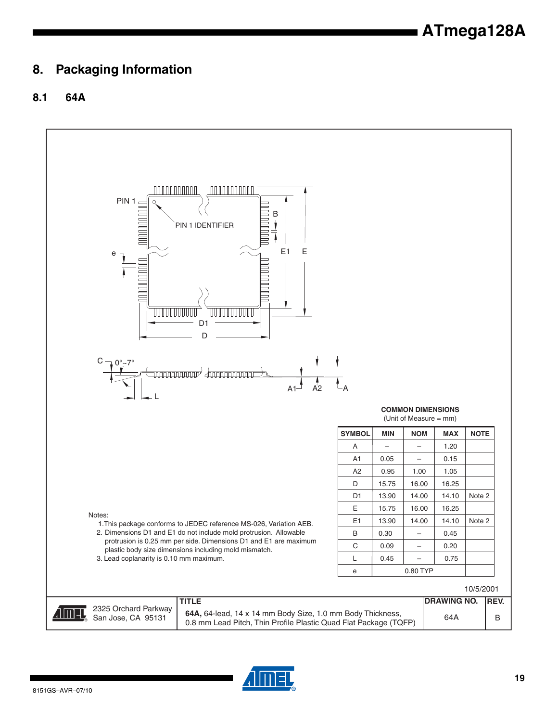### **8. Packaging Information**

### **8.1 64A**



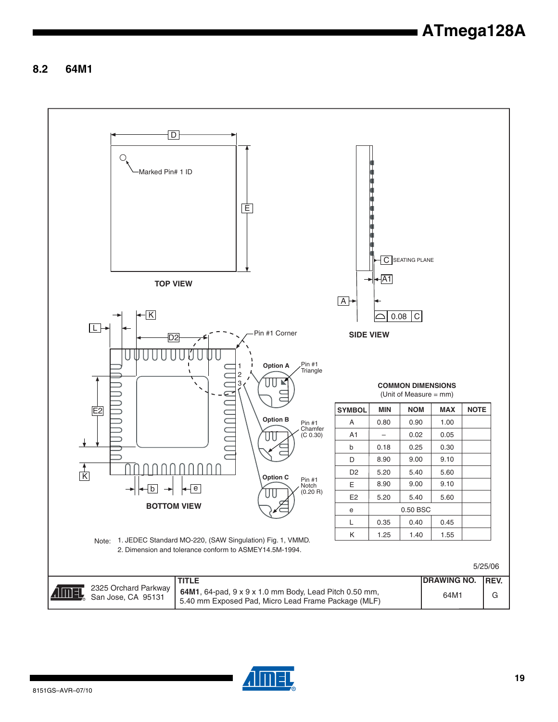**8.2 64M1**



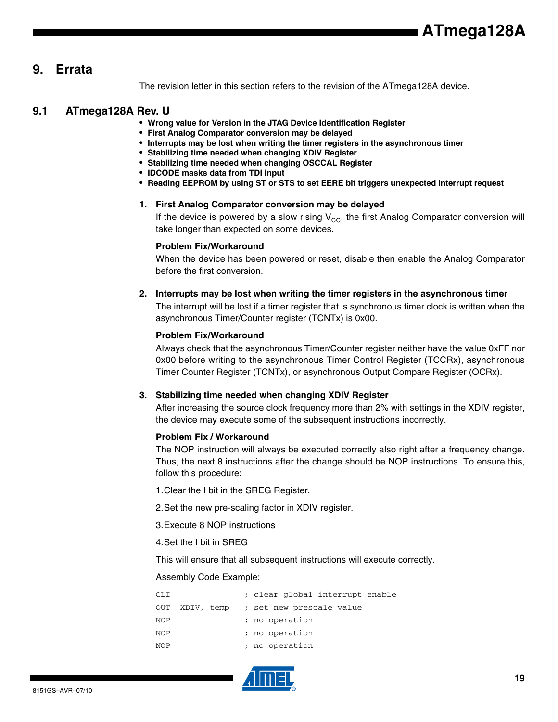### **9. Errata**

The revision letter in this section refers to the revision of the ATmega128A device.

### **9.1 ATmega128A Rev. U**

- **Wrong value for Version in the JTAG Device Identification Register**
- **First Analog Comparator conversion may be delayed**
- **Interrupts may be lost when writing the timer registers in the asynchronous timer**
- **Stabilizing time needed when changing XDIV Register**
- **Stabilizing time needed when changing OSCCAL Register**
- **IDCODE masks data from TDI input**
- **Reading EEPROM by using ST or STS to set EERE bit triggers unexpected interrupt request**

#### **1. First Analog Comparator conversion may be delayed**

If the device is powered by a slow rising  $V_{CC}$ , the first Analog Comparator conversion will take longer than expected on some devices.

#### **Problem Fix/Workaround**

When the device has been powered or reset, disable then enable the Analog Comparator before the first conversion.

### **2. Interrupts may be lost when writing the timer registers in the asynchronous timer**

The interrupt will be lost if a timer register that is synchronous timer clock is written when the asynchronous Timer/Counter register (TCNTx) is 0x00.

### **Problem Fix/Workaround**

Always check that the asynchronous Timer/Counter register neither have the value 0xFF nor 0x00 before writing to the asynchronous Timer Control Register (TCCRx), asynchronous Timer Counter Register (TCNTx), or asynchronous Output Compare Register (OCRx).

### **3. Stabilizing time needed when changing XDIV Register**

After increasing the source clock frequency more than 2% with settings in the XDIV register, the device may execute some of the subsequent instructions incorrectly.

### **Problem Fix / Workaround**

The NOP instruction will always be executed correctly also right after a frequency change. Thus, the next 8 instructions after the change should be NOP instructions. To ensure this, follow this procedure:

1.Clear the I bit in the SREG Register.

2.Set the new pre-scaling factor in XDIV register.

3.Execute 8 NOP instructions

4.Set the I bit in SREG

This will ensure that all subsequent instructions will execute correctly.

### Assembly Code Example:

| CLI |            |  | ; clear global interrupt enable |
|-----|------------|--|---------------------------------|
| OUT | XDIV, temp |  | ; set new prescale value        |
| NOP |            |  | ; no operation                  |
| NOP |            |  | ; no operation                  |
| NOP |            |  | ; no operation                  |

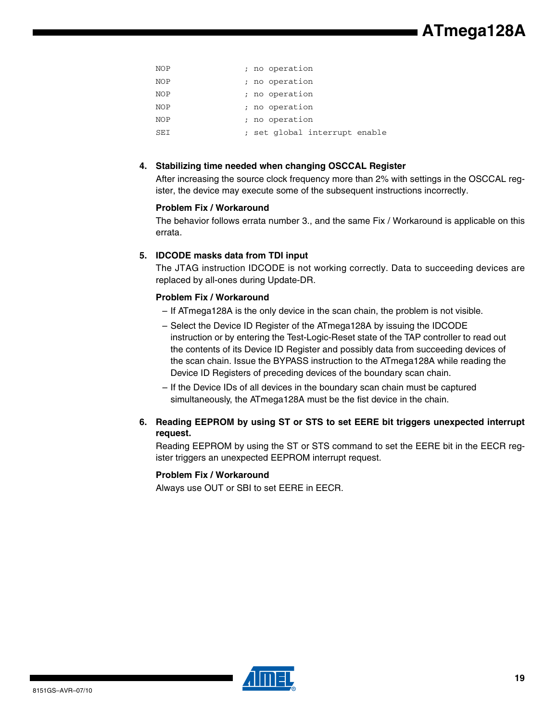| NOP | ; no operation                |
|-----|-------------------------------|
| NOP | ; no operation                |
| NOP | ; no operation                |
| NOP | ; no operation                |
| NOP | ; no operation                |
| SEI | ; set global interrupt enable |

### **4. Stabilizing time needed when changing OSCCAL Register**

After increasing the source clock frequency more than 2% with settings in the OSCCAL register, the device may execute some of the subsequent instructions incorrectly.

### **Problem Fix / Workaround**

The behavior follows errata number 3., and the same Fix / Workaround is applicable on this errata.

### **5. IDCODE masks data from TDI input**

The JTAG instruction IDCODE is not working correctly. Data to succeeding devices are replaced by all-ones during Update-DR.

### **Problem Fix / Workaround**

- If ATmega128A is the only device in the scan chain, the problem is not visible.
- Select the Device ID Register of the ATmega128A by issuing the IDCODE instruction or by entering the Test-Logic-Reset state of the TAP controller to read out the contents of its Device ID Register and possibly data from succeeding devices of the scan chain. Issue the BYPASS instruction to the ATmega128A while reading the Device ID Registers of preceding devices of the boundary scan chain.
- If the Device IDs of all devices in the boundary scan chain must be captured simultaneously, the ATmega128A must be the fist device in the chain.
- **6. Reading EEPROM by using ST or STS to set EERE bit triggers unexpected interrupt request.**

Reading EEPROM by using the ST or STS command to set the EERE bit in the EECR register triggers an unexpected EEPROM interrupt request.

### **Problem Fix / Workaround**

Always use OUT or SBI to set EERE in EECR.

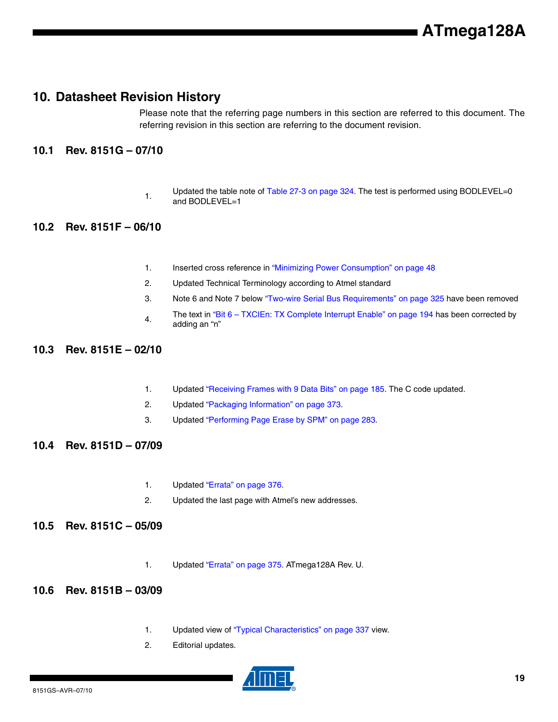### **10. Datasheet Revision History**

Please note that the referring page numbers in this section are referred to this document. The referring revision in this section are referring to the document revision.

### **10.1 Rev. 8151G – 07/10**

1. Updated the table note of Table 27-3 on page 324. The test is performed using BODLEVEL=0 and BODLEVEL=1

### **10.2 Rev. 8151F – 06/10**

- 1. Inserted cross reference in "Minimizing Power Consumption" on page 48
- 2. Updated Technical Terminology according to Atmel standard
- 3. Note 6 and Note 7 below "Two-wire Serial Bus Requirements" on page 325 have been removed
- The text in "Bit 6 TXCIEn: TX Complete Interrupt Enable" on page 194 has been corrected by adding an "n"

### **10.3 Rev. 8151E – 02/10**

- 1. Updated "Receiving Frames with 9 Data Bits" on page 185. The C code updated.
- 2. Updated "Packaging Information" on page 373.
- 3. Updated "Performing Page Erase by SPM" on page 283.
- **10.4 Rev. 8151D 07/09**
	- 1. Updated "Errata" on page 376.
	- 2. Updated the last page with Atmel's new addresses.

### **10.5 Rev. 8151C – 05/09**

- 1. Updated "Errata" on page 375. ATmega128A Rev. U.
- **10.6 Rev. 8151B 03/09**
	- 1. Updated view of "Typical Characteristics" on page 337 view.
	- 2. Editorial updates.

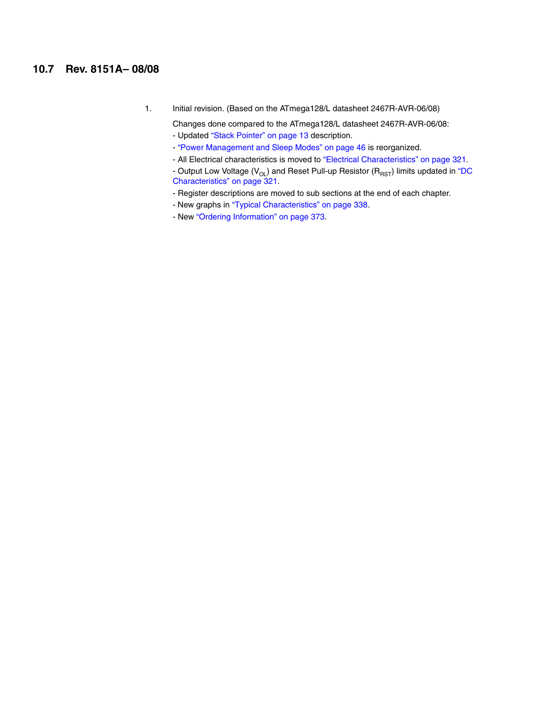### **10.7 Rev. 8151A– 08/08**

1. Initial revision. (Based on the ATmega128/L datasheet 2467R-AVR-06/08)

Changes done compared to the ATmega128/L datasheet 2467R-AVR-06/08: - Updated "Stack Pointer" on page 13 description.

- "Power Management and Sleep Modes" on page 46 is reorganized.
- All Electrical characteristics is moved to "Electrical Characteristics" on page 321.
- Output Low Voltage ( $V_{OL}$ ) and Reset Pull-up Resistor ( $R_{RST}$ ) limits updated in "DC Characteristics" on page 321.
- Register descriptions are moved to sub sections at the end of each chapter.
- New graphs in "Typical Characteristics" on page 338.
- New "Ordering Information" on page 373.